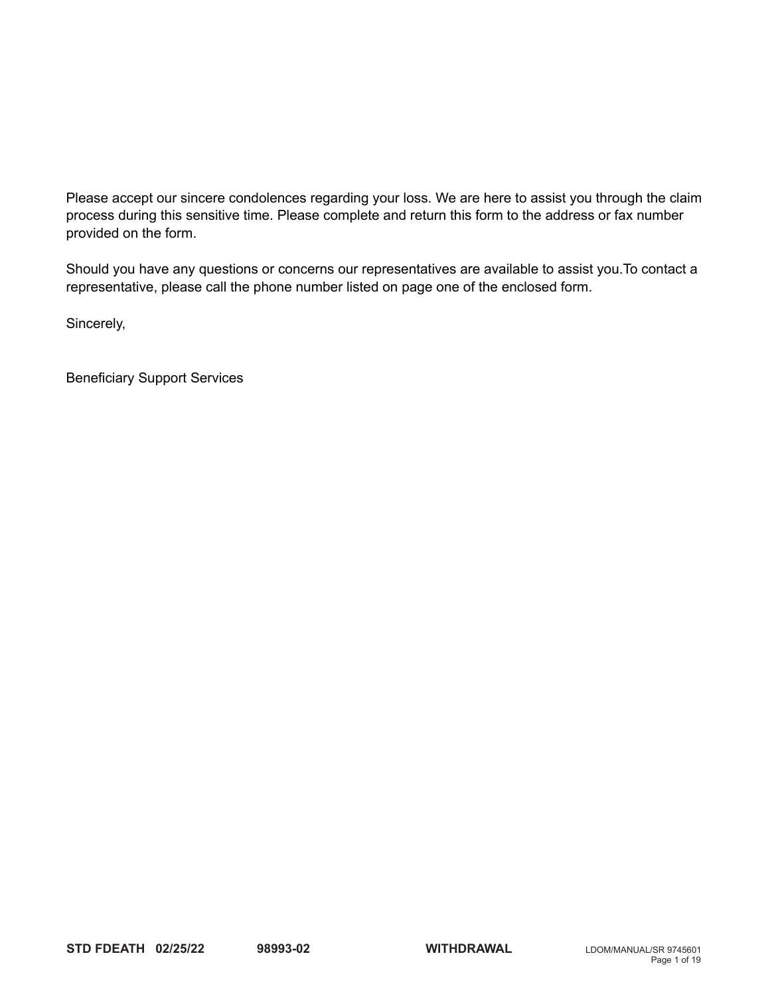Please accept our sincere condolences regarding your loss. We are here to assist you through the claim process during this sensitive time. Please complete and return this form to the address or fax number provided on the form.

Should you have any questions or concerns our representatives are available to assist you.To contact a representative, please call the phone number listed on page one of the enclosed form.

Sincerely,

Beneficiary Support Services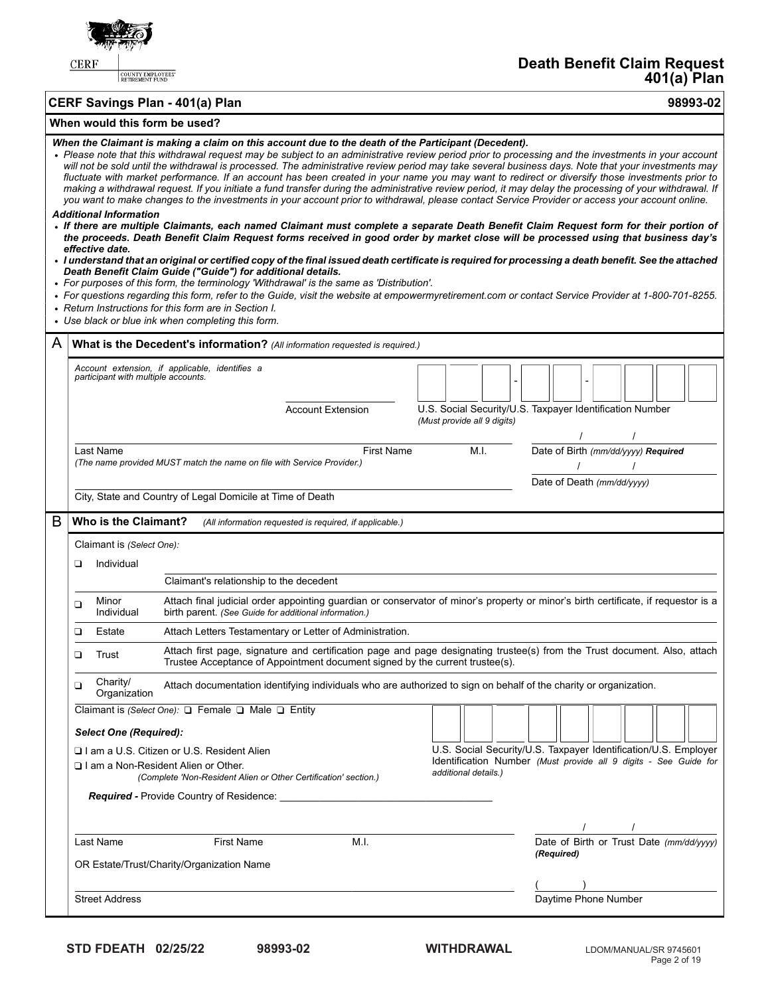

COUNTY EMPLOYEES'

**Death Benefit Claim Request 401(a) Plan**

# **CERF Savings Plan - 401(a) Plan 98993-02**

# **When would this form be used?**

*When the Claimant is making a claim on this account due to the death of the Participant (Decedent).*

|                                                                                         |                                                  | nen die Glannant is making a claim on diis account due to the death of the F articipant (Decedent). |                                                         |                             | • Please note that this withdrawal request may be subject to an administrative review period prior to processing and the investments in your account<br>will not be sold until the withdrawal is processed. The administrative review period may take several business days. Note that your investments may<br>fluctuate with market performance. If an account has been created in your name you may want to redirect or diversify those investments prior to<br>making a withdrawal request. If you initiate a fund transfer during the administrative review period, it may delay the processing of your withdrawal. If<br>you want to make changes to the investments in your account prior to withdrawal, please contact Service Provider or access your account online. |  |  |  |  |
|-----------------------------------------------------------------------------------------|--------------------------------------------------|-----------------------------------------------------------------------------------------------------|---------------------------------------------------------|-----------------------------|-------------------------------------------------------------------------------------------------------------------------------------------------------------------------------------------------------------------------------------------------------------------------------------------------------------------------------------------------------------------------------------------------------------------------------------------------------------------------------------------------------------------------------------------------------------------------------------------------------------------------------------------------------------------------------------------------------------------------------------------------------------------------------|--|--|--|--|
|                                                                                         | <b>Additional Information</b><br>effective date. |                                                                                                     |                                                         |                             | • If there are multiple Claimants, each named Claimant must complete a separate Death Benefit Claim Request form for their portion of<br>the proceeds. Death Benefit Claim Request forms received in good order by market close will be processed using that business day's                                                                                                                                                                                                                                                                                                                                                                                                                                                                                                   |  |  |  |  |
|                                                                                         |                                                  | Death Benefit Claim Guide ("Guide") for additional details.                                         |                                                         |                             | · I understand that an original or certified copy of the final issued death certificate is required for processing a death benefit. See the attached                                                                                                                                                                                                                                                                                                                                                                                                                                                                                                                                                                                                                          |  |  |  |  |
|                                                                                         |                                                  | • For purposes of this form, the terminology 'Withdrawal' is the same as 'Distribution'.            |                                                         |                             |                                                                                                                                                                                                                                                                                                                                                                                                                                                                                                                                                                                                                                                                                                                                                                               |  |  |  |  |
|                                                                                         |                                                  | • Return Instructions for this form are in Section I.                                               |                                                         |                             | • For questions regarding this form, refer to the Guide, visit the website at empowermyretirement.com or contact Service Provider at 1-800-701-8255.                                                                                                                                                                                                                                                                                                                                                                                                                                                                                                                                                                                                                          |  |  |  |  |
|                                                                                         |                                                  | • Use black or blue ink when completing this form.                                                  |                                                         |                             |                                                                                                                                                                                                                                                                                                                                                                                                                                                                                                                                                                                                                                                                                                                                                                               |  |  |  |  |
| A                                                                                       |                                                  | What is the Decedent's information? (All information requested is required.)                        |                                                         |                             |                                                                                                                                                                                                                                                                                                                                                                                                                                                                                                                                                                                                                                                                                                                                                                               |  |  |  |  |
|                                                                                         | participant with multiple accounts.              | Account extension, if applicable, identifies a                                                      |                                                         |                             |                                                                                                                                                                                                                                                                                                                                                                                                                                                                                                                                                                                                                                                                                                                                                                               |  |  |  |  |
|                                                                                         |                                                  |                                                                                                     | <b>Account Extension</b>                                | (Must provide all 9 digits) | U.S. Social Security/U.S. Taxpayer Identification Number                                                                                                                                                                                                                                                                                                                                                                                                                                                                                                                                                                                                                                                                                                                      |  |  |  |  |
|                                                                                         | Last Name                                        |                                                                                                     | <b>First Name</b>                                       | M.I.                        | Date of Birth (mm/dd/yyyy) Required                                                                                                                                                                                                                                                                                                                                                                                                                                                                                                                                                                                                                                                                                                                                           |  |  |  |  |
|                                                                                         |                                                  | (The name provided MUST match the name on file with Service Provider.)                              |                                                         |                             |                                                                                                                                                                                                                                                                                                                                                                                                                                                                                                                                                                                                                                                                                                                                                                               |  |  |  |  |
|                                                                                         |                                                  | City, State and Country of Legal Domicile at Time of Death                                          |                                                         |                             | Date of Death (mm/dd/yyyy)                                                                                                                                                                                                                                                                                                                                                                                                                                                                                                                                                                                                                                                                                                                                                    |  |  |  |  |
| B                                                                                       | Who is the Claimant?                             |                                                                                                     | (All information requested is required, if applicable.) |                             |                                                                                                                                                                                                                                                                                                                                                                                                                                                                                                                                                                                                                                                                                                                                                                               |  |  |  |  |
|                                                                                         | Claimant is (Select One):                        |                                                                                                     |                                                         |                             |                                                                                                                                                                                                                                                                                                                                                                                                                                                                                                                                                                                                                                                                                                                                                                               |  |  |  |  |
|                                                                                         | Individual<br>▫                                  |                                                                                                     |                                                         |                             |                                                                                                                                                                                                                                                                                                                                                                                                                                                                                                                                                                                                                                                                                                                                                                               |  |  |  |  |
|                                                                                         |                                                  | Claimant's relationship to the decedent                                                             |                                                         |                             |                                                                                                                                                                                                                                                                                                                                                                                                                                                                                                                                                                                                                                                                                                                                                                               |  |  |  |  |
|                                                                                         | Minor<br>❏<br>Individual                         | birth parent. (See Guide for additional information.)                                               |                                                         |                             | Attach final judicial order appointing guardian or conservator of minor's property or minor's birth certificate, if requestor is a                                                                                                                                                                                                                                                                                                                                                                                                                                                                                                                                                                                                                                            |  |  |  |  |
|                                                                                         | ❏<br>Estate                                      | Attach Letters Testamentary or Letter of Administration.                                            |                                                         |                             |                                                                                                                                                                                                                                                                                                                                                                                                                                                                                                                                                                                                                                                                                                                                                                               |  |  |  |  |
|                                                                                         | Trust<br>❏                                       | Trustee Acceptance of Appointment document signed by the current trustee(s).                        |                                                         |                             | Attach first page, signature and certification page and page designating trustee(s) from the Trust document. Also, attach                                                                                                                                                                                                                                                                                                                                                                                                                                                                                                                                                                                                                                                     |  |  |  |  |
|                                                                                         | Charity/<br>❏<br>Organization                    |                                                                                                     |                                                         |                             | Attach documentation identifying individuals who are authorized to sign on behalf of the charity or organization.                                                                                                                                                                                                                                                                                                                                                                                                                                                                                                                                                                                                                                                             |  |  |  |  |
|                                                                                         |                                                  | Claimant is (Select One): □ Female □ Male □ Entity                                                  |                                                         |                             |                                                                                                                                                                                                                                                                                                                                                                                                                                                                                                                                                                                                                                                                                                                                                                               |  |  |  |  |
|                                                                                         | <b>Select One (Required):</b>                    |                                                                                                     |                                                         |                             |                                                                                                                                                                                                                                                                                                                                                                                                                                                                                                                                                                                                                                                                                                                                                                               |  |  |  |  |
|                                                                                         |                                                  | I I am a U.S. Citizen or U.S. Resident Alien<br>$\Box$ I am a Non-Resident Alien or Other.          |                                                         |                             | U.S. Social Security/U.S. Taxpayer Identification/U.S. Employer<br>Identification Number (Must provide all 9 digits - See Guide for                                                                                                                                                                                                                                                                                                                                                                                                                                                                                                                                                                                                                                           |  |  |  |  |
| additional details.)<br>(Complete 'Non-Resident Alien or Other Certification' section.) |                                                  |                                                                                                     |                                                         |                             |                                                                                                                                                                                                                                                                                                                                                                                                                                                                                                                                                                                                                                                                                                                                                                               |  |  |  |  |
|                                                                                         |                                                  |                                                                                                     |                                                         |                             |                                                                                                                                                                                                                                                                                                                                                                                                                                                                                                                                                                                                                                                                                                                                                                               |  |  |  |  |
|                                                                                         |                                                  |                                                                                                     |                                                         |                             | $\sqrt{2}$                                                                                                                                                                                                                                                                                                                                                                                                                                                                                                                                                                                                                                                                                                                                                                    |  |  |  |  |
|                                                                                         | Last Name                                        | First Name                                                                                          | M.I.                                                    |                             | Date of Birth or Trust Date (mm/dd/yyyy)                                                                                                                                                                                                                                                                                                                                                                                                                                                                                                                                                                                                                                                                                                                                      |  |  |  |  |
|                                                                                         |                                                  | OR Estate/Trust/Charity/Organization Name                                                           |                                                         |                             | (Required)                                                                                                                                                                                                                                                                                                                                                                                                                                                                                                                                                                                                                                                                                                                                                                    |  |  |  |  |
|                                                                                         |                                                  |                                                                                                     |                                                         |                             | $\frac{1}{2}$ Daytime Phone Number                                                                                                                                                                                                                                                                                                                                                                                                                                                                                                                                                                                                                                                                                                                                            |  |  |  |  |
| <b>Street Address</b>                                                                   |                                                  |                                                                                                     |                                                         |                             |                                                                                                                                                                                                                                                                                                                                                                                                                                                                                                                                                                                                                                                                                                                                                                               |  |  |  |  |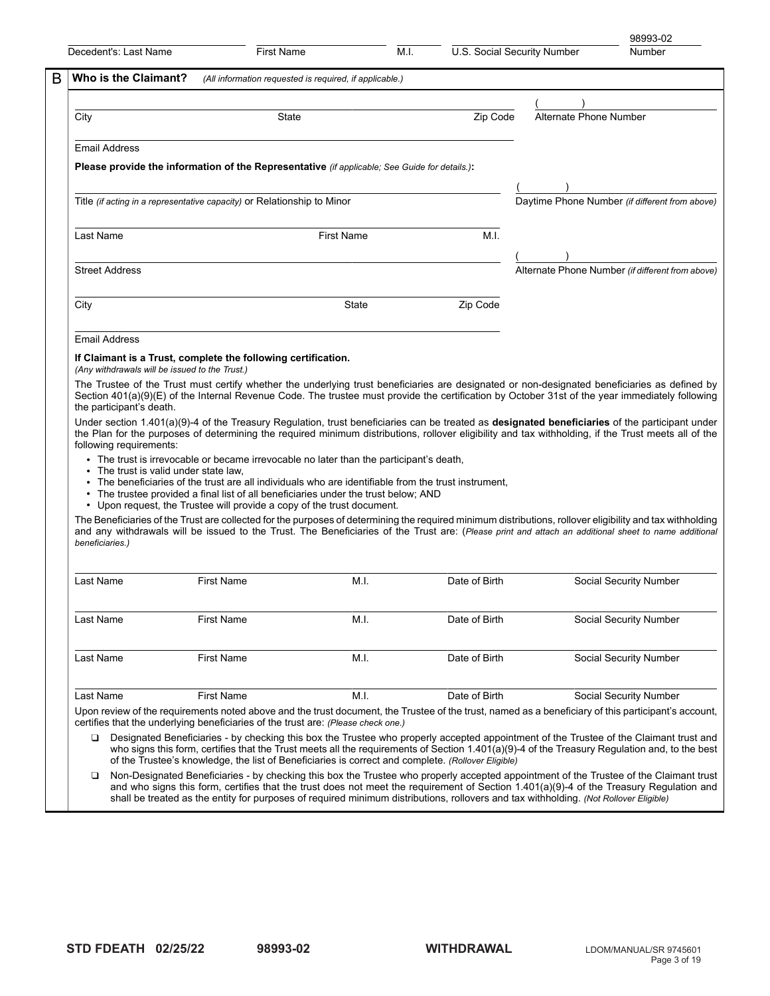| Who is the Claimant?                                                |                                                                                                                                                                                                                                                                                                                   |                   |               | U.S. Social Security Number |                                                  |
|---------------------------------------------------------------------|-------------------------------------------------------------------------------------------------------------------------------------------------------------------------------------------------------------------------------------------------------------------------------------------------------------------|-------------------|---------------|-----------------------------|--------------------------------------------------|
|                                                                     | (All information requested is required, if applicable.)                                                                                                                                                                                                                                                           |                   |               |                             |                                                  |
|                                                                     |                                                                                                                                                                                                                                                                                                                   |                   |               | Alternate Phone Number      |                                                  |
| City                                                                | State                                                                                                                                                                                                                                                                                                             |                   | Zip Code      |                             |                                                  |
| <b>Email Address</b>                                                |                                                                                                                                                                                                                                                                                                                   |                   |               |                             |                                                  |
|                                                                     | Please provide the information of the Representative (if applicable; See Guide for details.):                                                                                                                                                                                                                     |                   |               |                             |                                                  |
|                                                                     | Title <i>(if acting in a representative capacity)</i> or Relationship to Minor                                                                                                                                                                                                                                    |                   |               |                             | Daytime Phone Number (if different from above)   |
|                                                                     |                                                                                                                                                                                                                                                                                                                   |                   |               |                             |                                                  |
| Last Name                                                           |                                                                                                                                                                                                                                                                                                                   | <b>First Name</b> | M.I.          |                             |                                                  |
| <b>Street Address</b>                                               |                                                                                                                                                                                                                                                                                                                   |                   |               |                             | Alternate Phone Number (if different from above) |
| City                                                                |                                                                                                                                                                                                                                                                                                                   | State             | Zip Code      |                             |                                                  |
| <b>Email Address</b>                                                |                                                                                                                                                                                                                                                                                                                   |                   |               |                             |                                                  |
|                                                                     |                                                                                                                                                                                                                                                                                                                   |                   |               |                             |                                                  |
| (Any withdrawals will be issued to the Trust.)                      | If Claimant is a Trust, complete the following certification.                                                                                                                                                                                                                                                     |                   |               |                             |                                                  |
| the participant's death.                                            | Section 401(a)(9)(E) of the Internal Revenue Code. The trustee must provide the certification by October 31st of the year immediately following<br>Under section $1.401(a)(9)-4$ of the Treasury Regulation, trust beneficiaries can be treated as designated beneficiaries of the participant under              |                   |               |                             |                                                  |
| following requirements:                                             | the Plan for the purposes of determining the required minimum distributions, rollover eligibility and tax withholding, if the Trust meets all of the                                                                                                                                                              |                   |               |                             |                                                  |
|                                                                     | • The trust is irrevocable or became irrevocable no later than the participant's death,                                                                                                                                                                                                                           |                   |               |                             |                                                  |
| • The trust is valid under state law,                               | • The beneficiaries of the trust are all individuals who are identifiable from the trust instrument,<br>• The trustee provided a final list of all beneficiaries under the trust below; AND                                                                                                                       |                   |               |                             |                                                  |
|                                                                     | • Upon request, the Trustee will provide a copy of the trust document.                                                                                                                                                                                                                                            |                   |               |                             |                                                  |
|                                                                     | The Beneficiaries of the Trust are collected for the purposes of determining the required minimum distributions, rollover eligibility and tax withholding<br>and any withdrawals will be issued to the Trust. The Beneficiaries of the Trust are: (Please print and attach an additional sheet to name additional |                   |               |                             |                                                  |
|                                                                     | <b>First Name</b>                                                                                                                                                                                                                                                                                                 | M.I.              | Date of Birth |                             | Social Security Number                           |
|                                                                     | <b>First Name</b>                                                                                                                                                                                                                                                                                                 | M.I.              | Date of Birth |                             | Social Security Number                           |
|                                                                     | <b>First Name</b>                                                                                                                                                                                                                                                                                                 | M.I.              | Date of Birth |                             | Social Security Number                           |
|                                                                     |                                                                                                                                                                                                                                                                                                                   |                   |               |                             |                                                  |
| beneficiaries.)<br>Last Name<br>Last Name<br>Last Name<br>Last Name | <b>First Name</b><br>Upon review of the requirements noted above and the trust document, the Trustee of the trust, named as a beneficiary of this participant's account,<br>certifies that the underlying beneficiaries of the trust are: (Please check one.)                                                     | M.I.              | Date of Birth |                             | Social Security Number                           |

Non-Designated Beneficiaries - by checking this box the Trustee who properly accepted appointment of the Trustee of the Claimant trust and who signs this form, certifies that the trust does not meet the requirement of Section 1.401(a)(9)-4 of the Treasury Regulation and shall be treated as the entity for purposes of required minimum distributions, rollovers and tax withholding. *(Not Rollover Eligible)*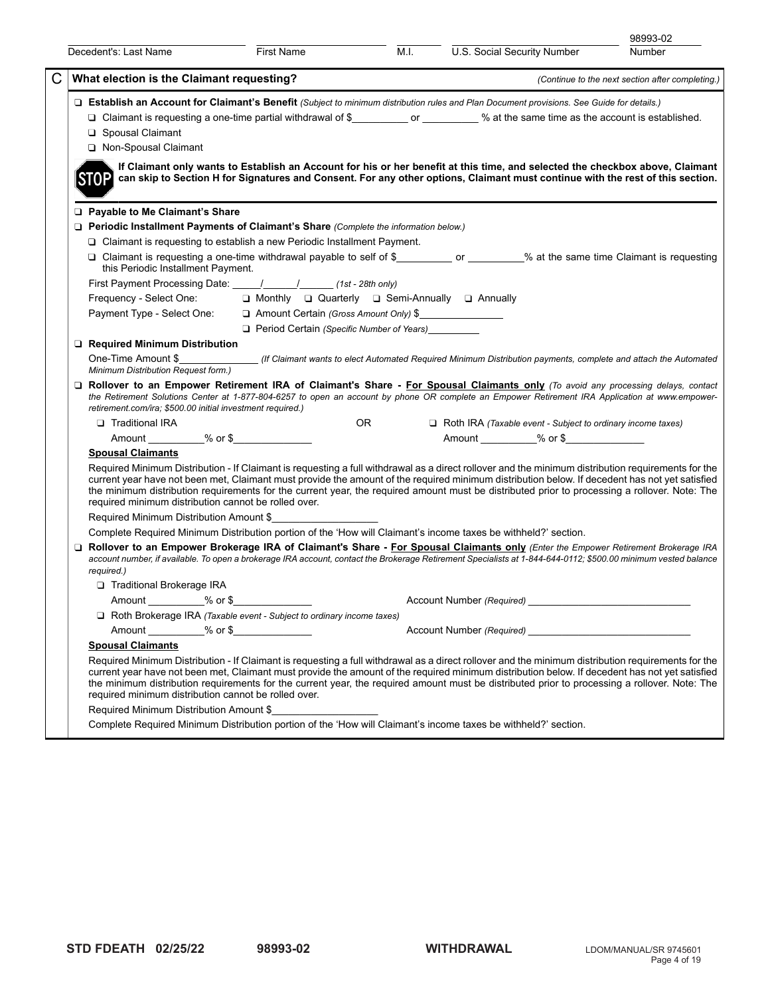| Decedent's: Last Name                                                  | First Name                                                                                                                                                                                                                                                                                                                                                                                                         | M.I.             | U.S. Social Security Number                                                                                                                                                                                                                                                                                                                                                                                                                                                                                                                          | 98993-02<br>Number                               |
|------------------------------------------------------------------------|--------------------------------------------------------------------------------------------------------------------------------------------------------------------------------------------------------------------------------------------------------------------------------------------------------------------------------------------------------------------------------------------------------------------|------------------|------------------------------------------------------------------------------------------------------------------------------------------------------------------------------------------------------------------------------------------------------------------------------------------------------------------------------------------------------------------------------------------------------------------------------------------------------------------------------------------------------------------------------------------------------|--------------------------------------------------|
| What election is the Claimant requesting?                              |                                                                                                                                                                                                                                                                                                                                                                                                                    |                  |                                                                                                                                                                                                                                                                                                                                                                                                                                                                                                                                                      | (Continue to the next section after completing.) |
| □ Spousal Claimant<br>Non-Spousal Claimant<br>ISTOP                    |                                                                                                                                                                                                                                                                                                                                                                                                                    |                  | □ Establish an Account for Claimant's Benefit (Subject to minimum distribution rules and Plan Document provisions. See Guide for details.)<br>□ Claimant is requesting a one-time partial withdrawal of \$ ____________________ % at the same time as the account is established.<br>If Claimant only wants to Establish an Account for his or her benefit at this time, and selected the checkbox above, Claimant<br>can skip to Section H for Signatures and Consent. For any other options, Claimant must continue with the rest of this section. |                                                  |
| □ Payable to Me Claimant's Share<br>this Periodic Installment Payment. | □ Periodic Installment Payments of Claimant's Share (Complete the information below.)<br>$\Box$ Claimant is requesting to establish a new Periodic Installment Payment.<br>First Payment Processing Date: \[\sqrtdgetild{\midd{math}\$\sqrtdgetild{\midd{math}\$\sqrtdgetild{math}\$\sqrtdgetil{math}\$\sqrtdgetild{math}\$\sqrtdgetil{math}\$\sqrtdgetil{math}\$\sqrtdgetil{math}\$\sqrtdgetil{math}\$\sqrtdgetil |                  | □ Claimant is requesting a one-time withdrawal payable to self of \$_____________ or ________% at the same time Claimant is requesting                                                                                                                                                                                                                                                                                                                                                                                                               |                                                  |
|                                                                        | Frequency - Select One:<br>$\square$ Monthly $\square$ Quarterly $\square$ Semi-Annually $\square$ Annually                                                                                                                                                                                                                                                                                                        |                  |                                                                                                                                                                                                                                                                                                                                                                                                                                                                                                                                                      |                                                  |
|                                                                        | Payment Type - Select One:<br><u> a</u> Amount Certain (Gross Amount Only) \$                                                                                                                                                                                                                                                                                                                                      |                  |                                                                                                                                                                                                                                                                                                                                                                                                                                                                                                                                                      |                                                  |
|                                                                        | $\Box$ Period Certain (Specific Number of Years)                                                                                                                                                                                                                                                                                                                                                                   |                  |                                                                                                                                                                                                                                                                                                                                                                                                                                                                                                                                                      |                                                  |
| □ Required Minimum Distribution                                        |                                                                                                                                                                                                                                                                                                                                                                                                                    |                  |                                                                                                                                                                                                                                                                                                                                                                                                                                                                                                                                                      |                                                  |
| Minimum Distribution Request form.)                                    |                                                                                                                                                                                                                                                                                                                                                                                                                    |                  | One-Time Amount \$_______________(If Claimant wants to elect Automated Required Minimum Distribution payments, complete and attach the Automated                                                                                                                                                                                                                                                                                                                                                                                                     |                                                  |
| retirement.com/ira; \$500.00 initial investment required.)             |                                                                                                                                                                                                                                                                                                                                                                                                                    |                  | □ Rollover to an Empower Retirement IRA of Claimant's Share - For Spousal Claimants only (To avoid any processing delays, contact<br>the Retirement Solutions Center at 1-877-804-6257 to open an account by phone OR complete an Empower Retirement IRA Application at www.empower-                                                                                                                                                                                                                                                                 |                                                  |
| <b>Traditional IRA</b>                                                 |                                                                                                                                                                                                                                                                                                                                                                                                                    | OR <b>Samuel</b> | $\Box$ Roth IRA (Taxable event - Subject to ordinary income taxes)                                                                                                                                                                                                                                                                                                                                                                                                                                                                                   |                                                  |
|                                                                        |                                                                                                                                                                                                                                                                                                                                                                                                                    |                  | Amount % or \$                                                                                                                                                                                                                                                                                                                                                                                                                                                                                                                                       |                                                  |
| <b>Spousal Claimants</b>                                               |                                                                                                                                                                                                                                                                                                                                                                                                                    |                  |                                                                                                                                                                                                                                                                                                                                                                                                                                                                                                                                                      |                                                  |
| required minimum distribution cannot be rolled over.                   |                                                                                                                                                                                                                                                                                                                                                                                                                    |                  | Required Minimum Distribution - If Claimant is requesting a full withdrawal as a direct rollover and the minimum distribution requirements for the<br>current year have not been met, Claimant must provide the amount of the required minimum distribution below. If decedent has not yet satisfied<br>the minimum distribution requirements for the current year, the required amount must be distributed prior to processing a rollover. Note: The                                                                                                |                                                  |
| Required Minimum Distribution Amount \$                                |                                                                                                                                                                                                                                                                                                                                                                                                                    |                  |                                                                                                                                                                                                                                                                                                                                                                                                                                                                                                                                                      |                                                  |
|                                                                        |                                                                                                                                                                                                                                                                                                                                                                                                                    |                  | Complete Required Minimum Distribution portion of the 'How will Claimant's income taxes be withheld?' section.                                                                                                                                                                                                                                                                                                                                                                                                                                       |                                                  |
| required.)                                                             |                                                                                                                                                                                                                                                                                                                                                                                                                    |                  | Rollover to an Empower Brokerage IRA of Claimant's Share - For Spousal Claimants only (Enter the Empower Retirement Brokerage IRA<br>account number, if available. To open a brokerage IRA account, contact the Brokerage Retirement Specialists at 1-844-644-0112; \$500.00 minimum vested balance                                                                                                                                                                                                                                                  |                                                  |
| Traditional Brokerage IRA                                              |                                                                                                                                                                                                                                                                                                                                                                                                                    |                  |                                                                                                                                                                                                                                                                                                                                                                                                                                                                                                                                                      |                                                  |
| Amount ___________% or \$_                                             |                                                                                                                                                                                                                                                                                                                                                                                                                    |                  |                                                                                                                                                                                                                                                                                                                                                                                                                                                                                                                                                      |                                                  |
|                                                                        | $\Box$ Roth Brokerage IRA (Taxable event - Subject to ordinary income taxes)                                                                                                                                                                                                                                                                                                                                       |                  |                                                                                                                                                                                                                                                                                                                                                                                                                                                                                                                                                      |                                                  |
|                                                                        | Amount ___________% or \$                                                                                                                                                                                                                                                                                                                                                                                          |                  | Account Number (Required)                                                                                                                                                                                                                                                                                                                                                                                                                                                                                                                            |                                                  |
| <b>Spousal Claimants</b>                                               |                                                                                                                                                                                                                                                                                                                                                                                                                    |                  |                                                                                                                                                                                                                                                                                                                                                                                                                                                                                                                                                      |                                                  |
| required minimum distribution cannot be rolled over.                   |                                                                                                                                                                                                                                                                                                                                                                                                                    |                  | Required Minimum Distribution - If Claimant is requesting a full withdrawal as a direct rollover and the minimum distribution requirements for the<br>current year have not been met, Claimant must provide the amount of the required minimum distribution below. If decedent has not yet satisfied<br>the minimum distribution requirements for the current year, the required amount must be distributed prior to processing a rollover. Note: The                                                                                                |                                                  |
| Required Minimum Distribution Amount \$                                |                                                                                                                                                                                                                                                                                                                                                                                                                    |                  |                                                                                                                                                                                                                                                                                                                                                                                                                                                                                                                                                      |                                                  |
|                                                                        |                                                                                                                                                                                                                                                                                                                                                                                                                    |                  |                                                                                                                                                                                                                                                                                                                                                                                                                                                                                                                                                      |                                                  |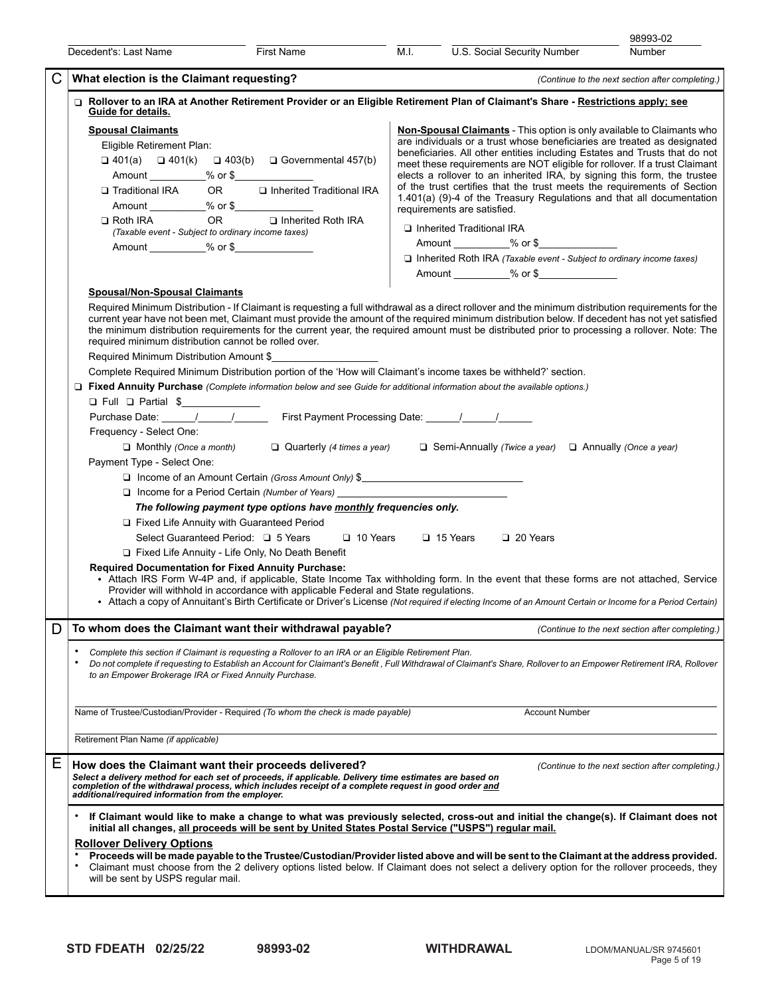|   |                                                                                                                                                                                                                                                                                                                                                                                                                                                                                                                                                                                                                                                                                                                                                                                                                                                                                                                                                                                                                                                                                                                                                                                                                                                                                                                                                                                                                                                                                                                                                                                                                                                                                                                                                                                                                                                                                                                                                                                                                             |                                                                                                                                                                                                                                                                                                            |                                                  |                                                                                                                                                                                                                                                                                                                                                                                                                                                                                                                                                                                                                                                                                                                                                                                                                                                                         | 98993-02                                         |  |
|---|-----------------------------------------------------------------------------------------------------------------------------------------------------------------------------------------------------------------------------------------------------------------------------------------------------------------------------------------------------------------------------------------------------------------------------------------------------------------------------------------------------------------------------------------------------------------------------------------------------------------------------------------------------------------------------------------------------------------------------------------------------------------------------------------------------------------------------------------------------------------------------------------------------------------------------------------------------------------------------------------------------------------------------------------------------------------------------------------------------------------------------------------------------------------------------------------------------------------------------------------------------------------------------------------------------------------------------------------------------------------------------------------------------------------------------------------------------------------------------------------------------------------------------------------------------------------------------------------------------------------------------------------------------------------------------------------------------------------------------------------------------------------------------------------------------------------------------------------------------------------------------------------------------------------------------------------------------------------------------------------------------------------------------|------------------------------------------------------------------------------------------------------------------------------------------------------------------------------------------------------------------------------------------------------------------------------------------------------------|--------------------------------------------------|-------------------------------------------------------------------------------------------------------------------------------------------------------------------------------------------------------------------------------------------------------------------------------------------------------------------------------------------------------------------------------------------------------------------------------------------------------------------------------------------------------------------------------------------------------------------------------------------------------------------------------------------------------------------------------------------------------------------------------------------------------------------------------------------------------------------------------------------------------------------------|--------------------------------------------------|--|
|   | Decedent's: Last Name                                                                                                                                                                                                                                                                                                                                                                                                                                                                                                                                                                                                                                                                                                                                                                                                                                                                                                                                                                                                                                                                                                                                                                                                                                                                                                                                                                                                                                                                                                                                                                                                                                                                                                                                                                                                                                                                                                                                                                                                       | First Name                                                                                                                                                                                                                                                                                                 | M.I.                                             | U.S. Social Security Number                                                                                                                                                                                                                                                                                                                                                                                                                                                                                                                                                                                                                                                                                                                                                                                                                                             | Number                                           |  |
| C | What election is the Claimant requesting?                                                                                                                                                                                                                                                                                                                                                                                                                                                                                                                                                                                                                                                                                                                                                                                                                                                                                                                                                                                                                                                                                                                                                                                                                                                                                                                                                                                                                                                                                                                                                                                                                                                                                                                                                                                                                                                                                                                                                                                   |                                                                                                                                                                                                                                                                                                            | (Continue to the next section after completing.) |                                                                                                                                                                                                                                                                                                                                                                                                                                                                                                                                                                                                                                                                                                                                                                                                                                                                         |                                                  |  |
|   | Rollover to an IRA at Another Retirement Provider or an Eligible Retirement Plan of Claimant's Share - Restrictions apply; see<br>Guide for details.<br><b>Spousal Claimants</b><br>Eligible Retirement Plan:<br>$\Box$ 401(a) $\Box$ 401(k) $\Box$ 403(b) $\Box$ Governmental 457(b)<br>Traditional IRA<br>$\Box$ Roth IRA<br>(Taxable event - Subject to ordinary income taxes)<br><b>Spousal/Non-Spousal Claimants</b><br>Required Minimum Distribution - If Claimant is requesting a full withdrawal as a direct rollover and the minimum distribution requirements for the<br>current year have not been met, Claimant must provide the amount of the required minimum distribution below. If decedent has not yet satisfied<br>the minimum distribution requirements for the current year, the required amount must be distributed prior to processing a rollover. Note: The<br>required minimum distribution cannot be rolled over.<br>Required Minimum Distribution Amount \$<br>Complete Required Minimum Distribution portion of the 'How will Claimant's income taxes be withheld?' section.<br>□ Fixed Annuity Purchase (Complete information below and see Guide for additional information about the available options.)<br>□ Full □ Partial \$<br>Purchase Date: 1 1 1 1 First Payment Processing Date: 1 1 1<br>Frequency - Select One:<br>$\Box$ Monthly (Once a month)<br>Payment Type - Select One:<br>□ Fixed Life Annuity with Guaranteed Period<br>Select Guaranteed Period: □ 5 Years<br>Fixed Life Annuity - Life Only, No Death Benefit<br><b>Required Documentation for Fixed Annuity Purchase:</b><br>• Attach IRS Form W-4P and, if applicable, State Income Tax withholding form. In the event that these forms are not attached, Service<br>Provider will withhold in accordance with applicable Federal and State regulations.<br>• Attach a copy of Annuitant's Birth Certificate or Driver's License (Not required if electing Income of an Amount Certain or Income for a Period Certain) | OR <b>u</b> Inherited Traditional IRA<br>OR D Inherited Roth IRA<br>□ Income of an Amount Certain (Gross Amount Only) \$<br>□ Income for a Period Certain (Number of Years) ________________________________<br>The following payment type options have monthly frequencies only.<br>□ 10 Years □ 15 Years |                                                  | <b>Non-Spousal Claimants</b> - This option is only available to Claimants who<br>are individuals or a trust whose beneficiaries are treated as designated<br>beneficiaries. All other entities including Estates and Trusts that do not<br>meet these requirements are NOT eligible for rollover. If a trust Claimant<br>elects a rollover to an inherited IRA, by signing this form, the trustee<br>of the trust certifies that the trust meets the requirements of Section<br>1.401(a) (9)-4 of the Treasury Regulations and that all documentation<br>requirements are satisfied.<br>Inherited Traditional IRA<br>Amount ___________% or \$<br>$\Box$ Inherited Roth IRA (Taxable event - Subject to ordinary income taxes)<br>Amount ___________% or \$<br>Quarterly (4 times a year) $\Box$ Semi-Annually (Twice a year) $\Box$ Annually (Once a year)<br>20 Years |                                                  |  |
| D | To whom does the Claimant want their withdrawal payable?                                                                                                                                                                                                                                                                                                                                                                                                                                                                                                                                                                                                                                                                                                                                                                                                                                                                                                                                                                                                                                                                                                                                                                                                                                                                                                                                                                                                                                                                                                                                                                                                                                                                                                                                                                                                                                                                                                                                                                    |                                                                                                                                                                                                                                                                                                            |                                                  |                                                                                                                                                                                                                                                                                                                                                                                                                                                                                                                                                                                                                                                                                                                                                                                                                                                                         | (Continue to the next section after completing.) |  |
|   | Complete this section if Claimant is requesting a Rollover to an IRA or an Eligible Retirement Plan.<br>Do not complete if requesting to Establish an Account for Claimant's Benefit, Full Withdrawal of Claimant's Share, Rollover to an Empower Retirement IRA, Rollover<br>to an Empower Brokerage IRA or Fixed Annuity Purchase.                                                                                                                                                                                                                                                                                                                                                                                                                                                                                                                                                                                                                                                                                                                                                                                                                                                                                                                                                                                                                                                                                                                                                                                                                                                                                                                                                                                                                                                                                                                                                                                                                                                                                        |                                                                                                                                                                                                                                                                                                            |                                                  |                                                                                                                                                                                                                                                                                                                                                                                                                                                                                                                                                                                                                                                                                                                                                                                                                                                                         |                                                  |  |
|   | Name of Trustee/Custodian/Provider - Required (To whom the check is made payable)                                                                                                                                                                                                                                                                                                                                                                                                                                                                                                                                                                                                                                                                                                                                                                                                                                                                                                                                                                                                                                                                                                                                                                                                                                                                                                                                                                                                                                                                                                                                                                                                                                                                                                                                                                                                                                                                                                                                           |                                                                                                                                                                                                                                                                                                            |                                                  | <b>Account Number</b>                                                                                                                                                                                                                                                                                                                                                                                                                                                                                                                                                                                                                                                                                                                                                                                                                                                   |                                                  |  |
|   | Retirement Plan Name (if applicable)                                                                                                                                                                                                                                                                                                                                                                                                                                                                                                                                                                                                                                                                                                                                                                                                                                                                                                                                                                                                                                                                                                                                                                                                                                                                                                                                                                                                                                                                                                                                                                                                                                                                                                                                                                                                                                                                                                                                                                                        |                                                                                                                                                                                                                                                                                                            |                                                  |                                                                                                                                                                                                                                                                                                                                                                                                                                                                                                                                                                                                                                                                                                                                                                                                                                                                         |                                                  |  |
| Ε | How does the Claimant want their proceeds delivered?<br>Select a delivery method for each set of proceeds, if applicable. Delivery time estimates are based on<br>completion of the withdrawal process, which includes receipt of a complete request in good order and<br>additional/required information from the employer.                                                                                                                                                                                                                                                                                                                                                                                                                                                                                                                                                                                                                                                                                                                                                                                                                                                                                                                                                                                                                                                                                                                                                                                                                                                                                                                                                                                                                                                                                                                                                                                                                                                                                                |                                                                                                                                                                                                                                                                                                            |                                                  |                                                                                                                                                                                                                                                                                                                                                                                                                                                                                                                                                                                                                                                                                                                                                                                                                                                                         | (Continue to the next section after completing.) |  |
|   | If Claimant would like to make a change to what was previously selected, cross-out and initial the change(s). If Claimant does not<br>initial all changes, all proceeds will be sent by United States Postal Service ("USPS") regular mail.<br><b>Rollover Delivery Options</b><br>Proceeds will be made payable to the Trustee/Custodian/Provider listed above and will be sent to the Claimant at the address provided.<br>Claimant must choose from the 2 delivery options listed below. If Claimant does not select a delivery option for the rollover proceeds, they<br>will be sent by USPS regular mail.                                                                                                                                                                                                                                                                                                                                                                                                                                                                                                                                                                                                                                                                                                                                                                                                                                                                                                                                                                                                                                                                                                                                                                                                                                                                                                                                                                                                             |                                                                                                                                                                                                                                                                                                            |                                                  |                                                                                                                                                                                                                                                                                                                                                                                                                                                                                                                                                                                                                                                                                                                                                                                                                                                                         |                                                  |  |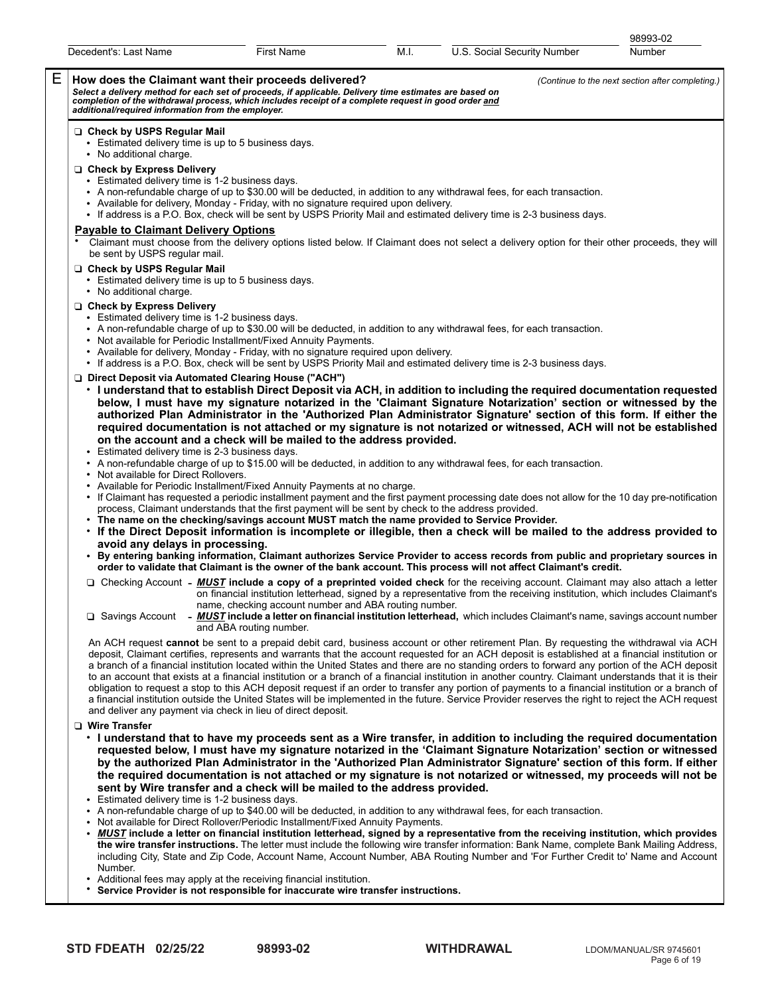|   |                                                                                                                                                                                                                                                                                                                                                                                         |                                                                                  |      |                                                                                                                                                                                                                                                                                                                                                                                                                                                                                                                                                                                                                                                                                                                                                                                                                                                                                                                   | 98993-02 |  |  |  |
|---|-----------------------------------------------------------------------------------------------------------------------------------------------------------------------------------------------------------------------------------------------------------------------------------------------------------------------------------------------------------------------------------------|----------------------------------------------------------------------------------|------|-------------------------------------------------------------------------------------------------------------------------------------------------------------------------------------------------------------------------------------------------------------------------------------------------------------------------------------------------------------------------------------------------------------------------------------------------------------------------------------------------------------------------------------------------------------------------------------------------------------------------------------------------------------------------------------------------------------------------------------------------------------------------------------------------------------------------------------------------------------------------------------------------------------------|----------|--|--|--|
|   | Decedent's: Last Name                                                                                                                                                                                                                                                                                                                                                                   | First Name                                                                       | M.I. | U.S. Social Security Number                                                                                                                                                                                                                                                                                                                                                                                                                                                                                                                                                                                                                                                                                                                                                                                                                                                                                       | Number   |  |  |  |
| Е | How does the Claimant want their proceeds delivered?<br>(Continue to the next section after completing.)<br>Select a delivery method for each set of proceeds, if applicable. Delivery time estimates are based on<br>completion of the withdrawal process, which includes receipt of a complete request in good order <u>and</u><br>additional/required information from the employer. |                                                                                  |      |                                                                                                                                                                                                                                                                                                                                                                                                                                                                                                                                                                                                                                                                                                                                                                                                                                                                                                                   |          |  |  |  |
|   | Check by USPS Regular Mail<br>Estimated delivery time is up to 5 business days.<br>• No additional charge.<br>Check by Express Delivery<br>• Estimated delivery time is 1-2 business days.<br>• Available for delivery, Monday - Friday, with no signature required upon delivery.                                                                                                      |                                                                                  |      | • A non-refundable charge of up to \$30.00 will be deducted, in addition to any withdrawal fees, for each transaction.                                                                                                                                                                                                                                                                                                                                                                                                                                                                                                                                                                                                                                                                                                                                                                                            |          |  |  |  |
|   | <b>Payable to Claimant Delivery Options</b>                                                                                                                                                                                                                                                                                                                                             |                                                                                  |      | • If address is a P.O. Box, check will be sent by USPS Priority Mail and estimated delivery time is 2-3 business days.<br>Claimant must choose from the delivery options listed below. If Claimant does not select a delivery option for their other proceeds, they will                                                                                                                                                                                                                                                                                                                                                                                                                                                                                                                                                                                                                                          |          |  |  |  |
|   | be sent by USPS regular mail.<br>Check by USPS Regular Mail<br>• Estimated delivery time is up to 5 business days.<br>• No additional charge.                                                                                                                                                                                                                                           |                                                                                  |      |                                                                                                                                                                                                                                                                                                                                                                                                                                                                                                                                                                                                                                                                                                                                                                                                                                                                                                                   |          |  |  |  |
|   | □ Check by Express Delivery<br>• Estimated delivery time is 1-2 business days.<br>• Not available for Periodic Installment/Fixed Annuity Payments.<br>• Available for delivery, Monday - Friday, with no signature required upon delivery.                                                                                                                                              |                                                                                  |      | • A non-refundable charge of up to \$30.00 will be deducted, in addition to any withdrawal fees, for each transaction.<br>• If address is a P.O. Box, check will be sent by USPS Priority Mail and estimated delivery time is 2-3 business days.                                                                                                                                                                                                                                                                                                                                                                                                                                                                                                                                                                                                                                                                  |          |  |  |  |
|   | □ Direct Deposit via Automated Clearing House ("ACH")<br>on the account and a check will be mailed to the address provided.<br>Estimated delivery time is 2-3 business days.                                                                                                                                                                                                            |                                                                                  |      | • I understand that to establish Direct Deposit via ACH, in addition to including the required documentation requested<br>below, I must have my signature notarized in the 'Claimant Signature Notarization' section or witnessed by the<br>authorized Plan Administrator in the 'Authorized Plan Administrator Signature' section of this form. If either the<br>required documentation is not attached or my signature is not notarized or witnessed, ACH will not be established                                                                                                                                                                                                                                                                                                                                                                                                                               |          |  |  |  |
|   | • Not available for Direct Rollovers.<br>• Available for Periodic Installment/Fixed Annuity Payments at no charge.<br>process, Claimant understands that the first payment will be sent by check to the address provided.<br>• The name on the checking/savings account MUST match the name provided to Service Provider.                                                               |                                                                                  |      | • A non-refundable charge of up to \$15.00 will be deducted, in addition to any withdrawal fees, for each transaction.<br>• If Claimant has requested a periodic installment payment and the first payment processing date does not allow for the 10 day pre-notification<br>. If the Direct Deposit information is incomplete or illegible, then a check will be mailed to the address provided to                                                                                                                                                                                                                                                                                                                                                                                                                                                                                                               |          |  |  |  |
|   | avoid any delays in processing.                                                                                                                                                                                                                                                                                                                                                         |                                                                                  |      | • By entering banking information, Claimant authorizes Service Provider to access records from public and proprietary sources in<br>order to validate that Claimant is the owner of the bank account. This process will not affect Claimant's credit.                                                                                                                                                                                                                                                                                                                                                                                                                                                                                                                                                                                                                                                             |          |  |  |  |
|   |                                                                                                                                                                                                                                                                                                                                                                                         | name, checking account number and ABA routing number.<br>and ABA routing number. |      | □ Checking Account - <b>MUST</b> include a copy of a preprinted voided check for the receiving account. Claimant may also attach a letter<br>on financial institution letterhead, signed by a representative from the receiving institution, which includes Claimant's<br>$\Box$ Savings Account - MUST include a letter on financial institution letterhead, which includes Claimant's name, savings account number                                                                                                                                                                                                                                                                                                                                                                                                                                                                                              |          |  |  |  |
|   | and deliver any payment via check in lieu of direct deposit.                                                                                                                                                                                                                                                                                                                            |                                                                                  |      | An ACH request cannot be sent to a prepaid debit card, business account or other retirement Plan. By requesting the withdrawal via ACH<br>deposit, Claimant certifies, represents and warrants that the account requested for an ACH deposit is established at a financial institution or<br>a branch of a financial institution located within the United States and there are no standing orders to forward any portion of the ACH deposit<br>to an account that exists at a financial institution or a branch of a financial institution in another country. Claimant understands that it is their<br>obligation to request a stop to this ACH deposit request if an order to transfer any portion of payments to a financial institution or a branch of<br>a financial institution outside the United States will be implemented in the future. Service Provider reserves the right to reject the ACH request |          |  |  |  |
|   | □ Wire Transfer<br>sent by Wire transfer and a check will be mailed to the address provided.<br>• Estimated delivery time is 1-2 business days.                                                                                                                                                                                                                                         |                                                                                  |      | • I understand that to have my proceeds sent as a Wire transfer, in addition to including the required documentation<br>requested below, I must have my signature notarized in the 'Claimant Signature Notarization' section or witnessed<br>by the authorized Plan Administrator in the 'Authorized Plan Administrator Signature' section of this form. If either<br>the required documentation is not attached or my signature is not notarized or witnessed, my proceeds will not be<br>• A non-refundable charge of up to \$40.00 will be deducted, in addition to any withdrawal fees, for each transaction.                                                                                                                                                                                                                                                                                                 |          |  |  |  |
|   | Not available for Direct Rollover/Periodic Installment/Fixed Annuity Payments.<br>٠                                                                                                                                                                                                                                                                                                     |                                                                                  |      | • MUST include a letter on financial institution letterhead, signed by a representative from the receiving institution, which provides                                                                                                                                                                                                                                                                                                                                                                                                                                                                                                                                                                                                                                                                                                                                                                            |          |  |  |  |

- **the wire transfer instructions.** The letter must include the following wire transfer information: Bank Name, complete Bank Mailing Address, including City, State and Zip Code, Account Name, Account Number, ABA Routing Number and 'For Further Credit to' Name and Account Number.
- Additional fees may apply at the receiving financial institution.<br>• Service Provider is not responsible for inaccurate wire tra
- Service Provider is not responsible for inaccurate wire transfer instructions.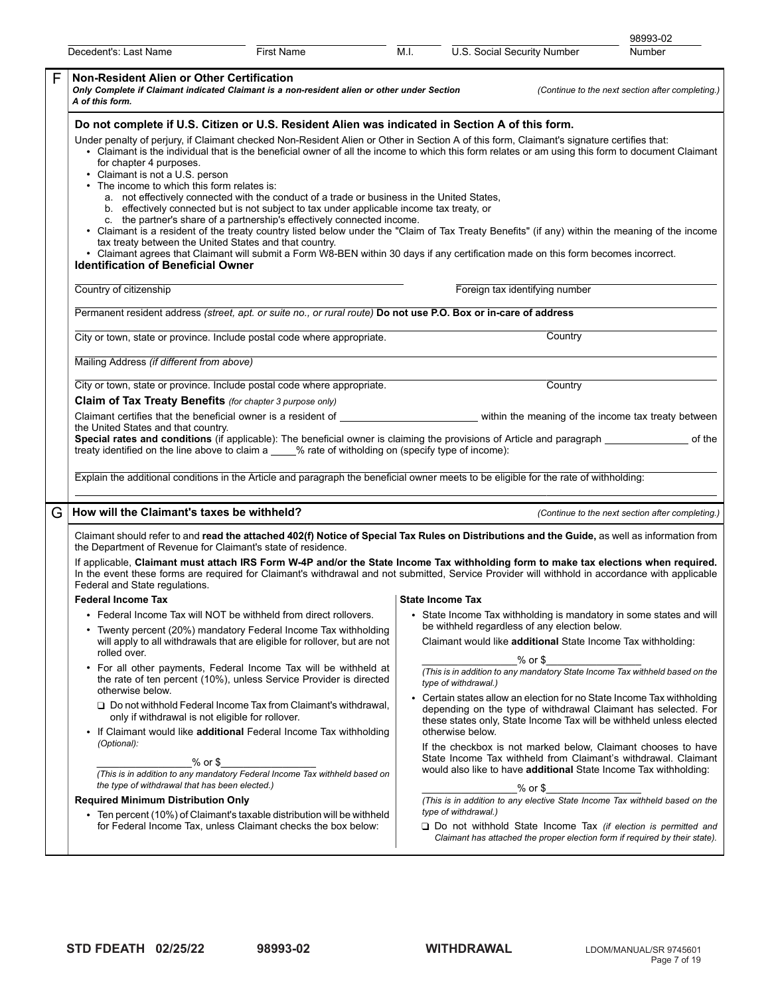|   |                                                                                                                                                                                                                                                                                                                                                                                                                                                                                                                                                                                                                                                                                                                                                                                                                                                                                                                                                                                                                                                                                                                                                                                     |                   |                                                                                                                                                                                                                                                                                                                                                    |                                               |                                                                                                                                                                                                     | 98993-02                                                                                                                                                                                                        |  |
|---|-------------------------------------------------------------------------------------------------------------------------------------------------------------------------------------------------------------------------------------------------------------------------------------------------------------------------------------------------------------------------------------------------------------------------------------------------------------------------------------------------------------------------------------------------------------------------------------------------------------------------------------------------------------------------------------------------------------------------------------------------------------------------------------------------------------------------------------------------------------------------------------------------------------------------------------------------------------------------------------------------------------------------------------------------------------------------------------------------------------------------------------------------------------------------------------|-------------------|----------------------------------------------------------------------------------------------------------------------------------------------------------------------------------------------------------------------------------------------------------------------------------------------------------------------------------------------------|-----------------------------------------------|-----------------------------------------------------------------------------------------------------------------------------------------------------------------------------------------------------|-----------------------------------------------------------------------------------------------------------------------------------------------------------------------------------------------------------------|--|
|   | Decedent's: Last Name                                                                                                                                                                                                                                                                                                                                                                                                                                                                                                                                                                                                                                                                                                                                                                                                                                                                                                                                                                                                                                                                                                                                                               | <b>First Name</b> | M.I.                                                                                                                                                                                                                                                                                                                                               | U.S. Social Security Number                   |                                                                                                                                                                                                     | Number                                                                                                                                                                                                          |  |
| F | <b>Non-Resident Alien or Other Certification</b><br>Only Complete if Claimant indicated Claimant is a non-resident alien or other under Section<br>A of this form.                                                                                                                                                                                                                                                                                                                                                                                                                                                                                                                                                                                                                                                                                                                                                                                                                                                                                                                                                                                                                  |                   | (Continue to the next section after completing.)                                                                                                                                                                                                                                                                                                   |                                               |                                                                                                                                                                                                     |                                                                                                                                                                                                                 |  |
|   | Do not complete if U.S. Citizen or U.S. Resident Alien was indicated in Section A of this form.<br>Under penalty of perjury, if Claimant checked Non-Resident Alien or Other in Section A of this form, Claimant's signature certifies that:<br>• Claimant is the individual that is the beneficial owner of all the income to which this form relates or am using this form to document Claimant<br>for chapter 4 purposes.<br>• Claimant is not a U.S. person<br>• The income to which this form relates is:<br>a. not effectively connected with the conduct of a trade or business in the United States,<br>b. effectively connected but is not subject to tax under applicable income tax treaty, or<br>c. the partner's share of a partnership's effectively connected income.<br>• Claimant is a resident of the treaty country listed below under the "Claim of Tax Treaty Benefits" (if any) within the meaning of the income<br>tax treaty between the United States and that country.<br>• Claimant agrees that Claimant will submit a Form W8-BEN within 30 days if any certification made on this form becomes incorrect.<br><b>Identification of Beneficial Owner</b> |                   |                                                                                                                                                                                                                                                                                                                                                    |                                               |                                                                                                                                                                                                     |                                                                                                                                                                                                                 |  |
|   | Country of citizenship                                                                                                                                                                                                                                                                                                                                                                                                                                                                                                                                                                                                                                                                                                                                                                                                                                                                                                                                                                                                                                                                                                                                                              |                   |                                                                                                                                                                                                                                                                                                                                                    | Foreign tax identifying number                |                                                                                                                                                                                                     |                                                                                                                                                                                                                 |  |
|   | Permanent resident address (street, apt. or suite no., or rural route) Do not use P.O. Box or in-care of address                                                                                                                                                                                                                                                                                                                                                                                                                                                                                                                                                                                                                                                                                                                                                                                                                                                                                                                                                                                                                                                                    |                   |                                                                                                                                                                                                                                                                                                                                                    |                                               |                                                                                                                                                                                                     |                                                                                                                                                                                                                 |  |
|   | City or town, state or province. Include postal code where appropriate.                                                                                                                                                                                                                                                                                                                                                                                                                                                                                                                                                                                                                                                                                                                                                                                                                                                                                                                                                                                                                                                                                                             |                   |                                                                                                                                                                                                                                                                                                                                                    |                                               | Country                                                                                                                                                                                             |                                                                                                                                                                                                                 |  |
|   | Mailing Address (if different from above)                                                                                                                                                                                                                                                                                                                                                                                                                                                                                                                                                                                                                                                                                                                                                                                                                                                                                                                                                                                                                                                                                                                                           |                   |                                                                                                                                                                                                                                                                                                                                                    |                                               |                                                                                                                                                                                                     |                                                                                                                                                                                                                 |  |
|   | City or town, state or province. Include postal code where appropriate.<br>Claim of Tax Treaty Benefits (for chapter 3 purpose only)                                                                                                                                                                                                                                                                                                                                                                                                                                                                                                                                                                                                                                                                                                                                                                                                                                                                                                                                                                                                                                                |                   | Country                                                                                                                                                                                                                                                                                                                                            |                                               |                                                                                                                                                                                                     |                                                                                                                                                                                                                 |  |
|   | Claimant certifies that the beneficial owner is a resident of<br>the United States and that country.<br>treaty identified on the line above to claim a ____% rate of witholding on (specify type of income):                                                                                                                                                                                                                                                                                                                                                                                                                                                                                                                                                                                                                                                                                                                                                                                                                                                                                                                                                                        |                   | within the meaning of the income tax treaty between<br>Special rates and conditions (if applicable): The beneficial owner is claiming the provisions of Article and paragraph ____________________ of the<br>Explain the additional conditions in the Article and paragraph the beneficial owner meets to be eligible for the rate of withholding: |                                               |                                                                                                                                                                                                     |                                                                                                                                                                                                                 |  |
| G | How will the Claimant's taxes be withheld?                                                                                                                                                                                                                                                                                                                                                                                                                                                                                                                                                                                                                                                                                                                                                                                                                                                                                                                                                                                                                                                                                                                                          |                   |                                                                                                                                                                                                                                                                                                                                                    |                                               |                                                                                                                                                                                                     | (Continue to the next section after completing.)                                                                                                                                                                |  |
|   | Claimant should refer to and read the attached 402(f) Notice of Special Tax Rules on Distributions and the Guide, as well as information from<br>the Department of Revenue for Claimant's state of residence.                                                                                                                                                                                                                                                                                                                                                                                                                                                                                                                                                                                                                                                                                                                                                                                                                                                                                                                                                                       |                   |                                                                                                                                                                                                                                                                                                                                                    |                                               |                                                                                                                                                                                                     |                                                                                                                                                                                                                 |  |
|   | If applicable, Claimant must attach IRS Form W-4P and/or the State Income Tax withholding form to make tax elections when required.<br>In the event these forms are required for Claimant's withdrawal and not submitted, Service Provider will withhold in accordance with applicable<br>Federal and State regulations.                                                                                                                                                                                                                                                                                                                                                                                                                                                                                                                                                                                                                                                                                                                                                                                                                                                            |                   |                                                                                                                                                                                                                                                                                                                                                    |                                               |                                                                                                                                                                                                     |                                                                                                                                                                                                                 |  |
|   | <b>Federal Income Tax</b>                                                                                                                                                                                                                                                                                                                                                                                                                                                                                                                                                                                                                                                                                                                                                                                                                                                                                                                                                                                                                                                                                                                                                           |                   | State Income Tax                                                                                                                                                                                                                                                                                                                                   |                                               |                                                                                                                                                                                                     |                                                                                                                                                                                                                 |  |
|   | • Federal Income Tax will NOT be withheld from direct rollovers.                                                                                                                                                                                                                                                                                                                                                                                                                                                                                                                                                                                                                                                                                                                                                                                                                                                                                                                                                                                                                                                                                                                    |                   |                                                                                                                                                                                                                                                                                                                                                    |                                               |                                                                                                                                                                                                     | • State Income Tax withholding is mandatory in some states and will                                                                                                                                             |  |
|   | • Twenty percent (20%) mandatory Federal Income Tax withholding<br>will apply to all withdrawals that are eligible for rollover, but are not<br>rolled over.                                                                                                                                                                                                                                                                                                                                                                                                                                                                                                                                                                                                                                                                                                                                                                                                                                                                                                                                                                                                                        |                   |                                                                                                                                                                                                                                                                                                                                                    | be withheld regardless of any election below. |                                                                                                                                                                                                     | Claimant would like <b>additional</b> State Income Tax withholding:                                                                                                                                             |  |
|   | • For all other payments, Federal Income Tax will be withheld at<br>the rate of ten percent (10%), unless Service Provider is directed<br>otherwise below.                                                                                                                                                                                                                                                                                                                                                                                                                                                                                                                                                                                                                                                                                                                                                                                                                                                                                                                                                                                                                          |                   |                                                                                                                                                                                                                                                                                                                                                    | $%$ or $$$<br>type of withdrawal.)            |                                                                                                                                                                                                     | (This is in addition to any mandatory State Income Tax withheld based on the                                                                                                                                    |  |
|   | $\Box$ Do not withhold Federal Income Tax from Claimant's withdrawal.<br>only if withdrawal is not eligible for rollover.                                                                                                                                                                                                                                                                                                                                                                                                                                                                                                                                                                                                                                                                                                                                                                                                                                                                                                                                                                                                                                                           |                   |                                                                                                                                                                                                                                                                                                                                                    |                                               |                                                                                                                                                                                                     | • Certain states allow an election for no State Income Tax withholding<br>depending on the type of withdrawal Claimant has selected. For<br>these states only. State Income Tax will be withheld unless elected |  |
|   | • If Claimant would like additional Federal Income Tax withholding<br>(Optional):<br>% or \$<br>(This is in addition to any mandatory Federal Income Tax withheld based on<br>the type of withdrawal that has been elected.)                                                                                                                                                                                                                                                                                                                                                                                                                                                                                                                                                                                                                                                                                                                                                                                                                                                                                                                                                        |                   | otherwise below.<br>% or \$                                                                                                                                                                                                                                                                                                                        |                                               | If the checkbox is not marked below, Claimant chooses to have<br>State Income Tax withheld from Claimant's withdrawal. Claimant<br>would also like to have additional State Income Tax withholding: |                                                                                                                                                                                                                 |  |
|   | <b>Required Minimum Distribution Only</b>                                                                                                                                                                                                                                                                                                                                                                                                                                                                                                                                                                                                                                                                                                                                                                                                                                                                                                                                                                                                                                                                                                                                           |                   |                                                                                                                                                                                                                                                                                                                                                    | type of withdrawal.)                          |                                                                                                                                                                                                     | (This is in addition to any elective State Income Tax withheld based on the                                                                                                                                     |  |
|   | • Ten percent (10%) of Claimant's taxable distribution will be withheld<br>for Federal Income Tax, unless Claimant checks the box below:                                                                                                                                                                                                                                                                                                                                                                                                                                                                                                                                                                                                                                                                                                                                                                                                                                                                                                                                                                                                                                            |                   |                                                                                                                                                                                                                                                                                                                                                    |                                               |                                                                                                                                                                                                     | $\Box$ Do not withhold State Income Tax (if election is permitted and<br>Claimant has attached the proper election form if required by their state).                                                            |  |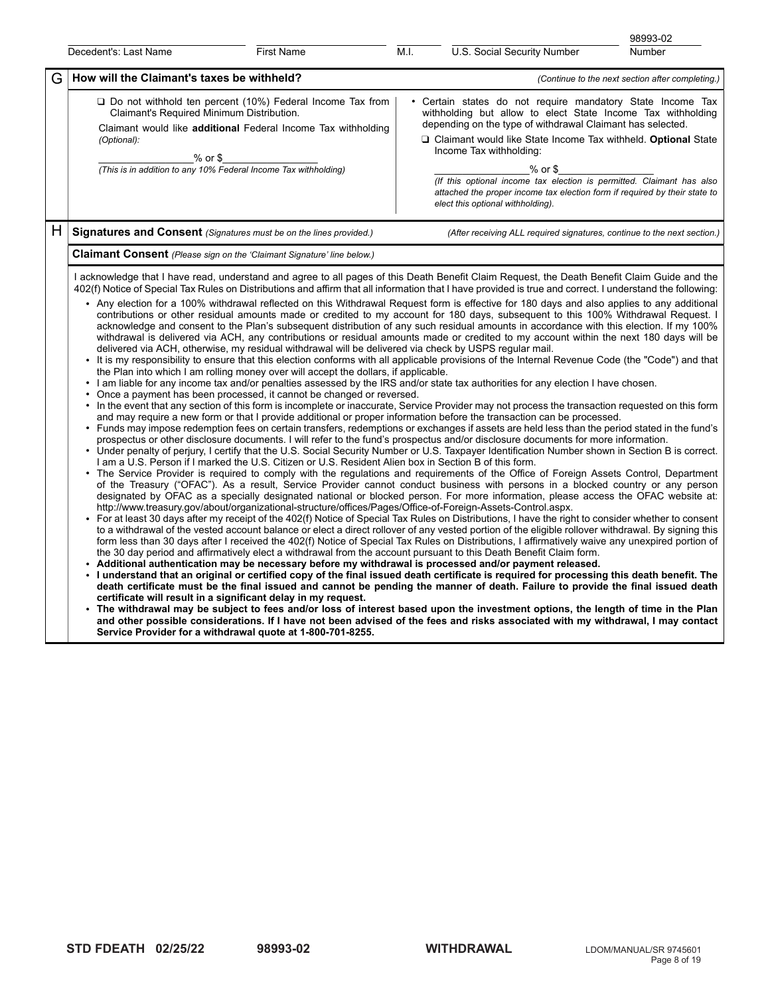|   |                                                                                                                                                                                                                                                                                                                                                                                                                                                                                                                                                                                                                                                                                                                                                                                                                                                                                                                                                                                                                                                                                                                                                                                                                                                                                                                                                                                                                                                                                                                                                                                                                                                                                                                                                                                                                                                                                                                                                                                                                                                                                                                                                                                                                                                                                                                                                                                                                                                                                                                                                                                                                                                                                                                                                                                                                                                                                                                                                                                                                                                                                                                                                                                                                                                                                                                                                                                                                                                                                                                                                                                                                                                                                                                                                                                                                                                                                                                                                                                                                                                                                                                                                      |                                                                                                                                   |                                                                                                                                                                                                                                                                                                                                                                                                                                                                                                |                                                                          | 98993-02 |  |  |
|---|------------------------------------------------------------------------------------------------------------------------------------------------------------------------------------------------------------------------------------------------------------------------------------------------------------------------------------------------------------------------------------------------------------------------------------------------------------------------------------------------------------------------------------------------------------------------------------------------------------------------------------------------------------------------------------------------------------------------------------------------------------------------------------------------------------------------------------------------------------------------------------------------------------------------------------------------------------------------------------------------------------------------------------------------------------------------------------------------------------------------------------------------------------------------------------------------------------------------------------------------------------------------------------------------------------------------------------------------------------------------------------------------------------------------------------------------------------------------------------------------------------------------------------------------------------------------------------------------------------------------------------------------------------------------------------------------------------------------------------------------------------------------------------------------------------------------------------------------------------------------------------------------------------------------------------------------------------------------------------------------------------------------------------------------------------------------------------------------------------------------------------------------------------------------------------------------------------------------------------------------------------------------------------------------------------------------------------------------------------------------------------------------------------------------------------------------------------------------------------------------------------------------------------------------------------------------------------------------------------------------------------------------------------------------------------------------------------------------------------------------------------------------------------------------------------------------------------------------------------------------------------------------------------------------------------------------------------------------------------------------------------------------------------------------------------------------------------------------------------------------------------------------------------------------------------------------------------------------------------------------------------------------------------------------------------------------------------------------------------------------------------------------------------------------------------------------------------------------------------------------------------------------------------------------------------------------------------------------------------------------------------------------------------------------------------------------------------------------------------------------------------------------------------------------------------------------------------------------------------------------------------------------------------------------------------------------------------------------------------------------------------------------------------------------------------------------------------------------------------------------------------------------------|-----------------------------------------------------------------------------------------------------------------------------------|------------------------------------------------------------------------------------------------------------------------------------------------------------------------------------------------------------------------------------------------------------------------------------------------------------------------------------------------------------------------------------------------------------------------------------------------------------------------------------------------|--------------------------------------------------------------------------|----------|--|--|
|   | Decedent's: Last Name                                                                                                                                                                                                                                                                                                                                                                                                                                                                                                                                                                                                                                                                                                                                                                                                                                                                                                                                                                                                                                                                                                                                                                                                                                                                                                                                                                                                                                                                                                                                                                                                                                                                                                                                                                                                                                                                                                                                                                                                                                                                                                                                                                                                                                                                                                                                                                                                                                                                                                                                                                                                                                                                                                                                                                                                                                                                                                                                                                                                                                                                                                                                                                                                                                                                                                                                                                                                                                                                                                                                                                                                                                                                                                                                                                                                                                                                                                                                                                                                                                                                                                                                | <b>First Name</b>                                                                                                                 | M.I.                                                                                                                                                                                                                                                                                                                                                                                                                                                                                           | U.S. Social Security Number                                              | Number   |  |  |
| G | How will the Claimant's taxes be withheld?                                                                                                                                                                                                                                                                                                                                                                                                                                                                                                                                                                                                                                                                                                                                                                                                                                                                                                                                                                                                                                                                                                                                                                                                                                                                                                                                                                                                                                                                                                                                                                                                                                                                                                                                                                                                                                                                                                                                                                                                                                                                                                                                                                                                                                                                                                                                                                                                                                                                                                                                                                                                                                                                                                                                                                                                                                                                                                                                                                                                                                                                                                                                                                                                                                                                                                                                                                                                                                                                                                                                                                                                                                                                                                                                                                                                                                                                                                                                                                                                                                                                                                           |                                                                                                                                   | (Continue to the next section after completing.)                                                                                                                                                                                                                                                                                                                                                                                                                                               |                                                                          |          |  |  |
|   | Claimant's Required Minimum Distribution.<br>(Optional):<br>$%$ or \$<br>(This is in addition to any 10% Federal Income Tax withholding)                                                                                                                                                                                                                                                                                                                                                                                                                                                                                                                                                                                                                                                                                                                                                                                                                                                                                                                                                                                                                                                                                                                                                                                                                                                                                                                                                                                                                                                                                                                                                                                                                                                                                                                                                                                                                                                                                                                                                                                                                                                                                                                                                                                                                                                                                                                                                                                                                                                                                                                                                                                                                                                                                                                                                                                                                                                                                                                                                                                                                                                                                                                                                                                                                                                                                                                                                                                                                                                                                                                                                                                                                                                                                                                                                                                                                                                                                                                                                                                                             | $\Box$ Do not withhold ten percent (10%) Federal Income Tax from<br>Claimant would like additional Federal Income Tax withholding | • Certain states do not require mandatory State Income Tax<br>withholding but allow to elect State Income Tax withholding<br>depending on the type of withdrawal Claimant has selected.<br>□ Claimant would like State Income Tax withheld. Optional State<br>Income Tax withholding:<br>$%$ or \$<br>(If this optional income tax election is permitted. Claimant has also<br>attached the proper income tax election form if required by their state to<br>elect this optional withholding). |                                                                          |          |  |  |
| н | Signatures and Consent (Signatures must be on the lines provided.)                                                                                                                                                                                                                                                                                                                                                                                                                                                                                                                                                                                                                                                                                                                                                                                                                                                                                                                                                                                                                                                                                                                                                                                                                                                                                                                                                                                                                                                                                                                                                                                                                                                                                                                                                                                                                                                                                                                                                                                                                                                                                                                                                                                                                                                                                                                                                                                                                                                                                                                                                                                                                                                                                                                                                                                                                                                                                                                                                                                                                                                                                                                                                                                                                                                                                                                                                                                                                                                                                                                                                                                                                                                                                                                                                                                                                                                                                                                                                                                                                                                                                   |                                                                                                                                   |                                                                                                                                                                                                                                                                                                                                                                                                                                                                                                | (After receiving ALL required signatures, continue to the next section.) |          |  |  |
|   | <b>Claimant Consent</b> (Please sign on the 'Claimant Signature' line below.)                                                                                                                                                                                                                                                                                                                                                                                                                                                                                                                                                                                                                                                                                                                                                                                                                                                                                                                                                                                                                                                                                                                                                                                                                                                                                                                                                                                                                                                                                                                                                                                                                                                                                                                                                                                                                                                                                                                                                                                                                                                                                                                                                                                                                                                                                                                                                                                                                                                                                                                                                                                                                                                                                                                                                                                                                                                                                                                                                                                                                                                                                                                                                                                                                                                                                                                                                                                                                                                                                                                                                                                                                                                                                                                                                                                                                                                                                                                                                                                                                                                                        |                                                                                                                                   |                                                                                                                                                                                                                                                                                                                                                                                                                                                                                                |                                                                          |          |  |  |
|   | I acknowledge that I have read, understand and agree to all pages of this Death Benefit Claim Request, the Death Benefit Claim Guide and the<br>402(f) Notice of Special Tax Rules on Distributions and affirm that all information that I have provided is true and correct. I understand the following:<br>• Any election for a 100% withdrawal reflected on this Withdrawal Request form is effective for 180 days and also applies to any additional<br>contributions or other residual amounts made or credited to my account for 180 days, subsequent to this 100% Withdrawal Request. I<br>acknowledge and consent to the Plan's subsequent distribution of any such residual amounts in accordance with this election. If my 100%<br>withdrawal is delivered via ACH, any contributions or residual amounts made or credited to my account within the next 180 days will be<br>delivered via ACH, otherwise, my residual withdrawal will be delivered via check by USPS regular mail.<br>• It is my responsibility to ensure that this election conforms with all applicable provisions of the Internal Revenue Code (the "Code") and that<br>the Plan into which I am rolling money over will accept the dollars, if applicable.<br>• I am liable for any income tax and/or penalties assessed by the IRS and/or state tax authorities for any election I have chosen.<br>Once a payment has been processed, it cannot be changed or reversed.<br>• In the event that any section of this form is incomplete or inaccurate, Service Provider may not process the transaction requested on this form<br>and may require a new form or that I provide additional or proper information before the transaction can be processed.<br>• Funds may impose redemption fees on certain transfers, redemptions or exchanges if assets are held less than the period stated in the fund's<br>prospectus or other disclosure documents. I will refer to the fund's prospectus and/or disclosure documents for more information.<br>• Under penalty of perjury, I certify that the U.S. Social Security Number or U.S. Taxpayer Identification Number shown in Section B is correct.<br>I am a U.S. Person if I marked the U.S. Citizen or U.S. Resident Alien box in Section B of this form.<br>The Service Provider is required to comply with the regulations and requirements of the Office of Foreign Assets Control, Department<br>of the Treasury ("OFAC"). As a result, Service Provider cannot conduct business with persons in a blocked country or any person<br>designated by OFAC as a specially designated national or blocked person. For more information, please access the OFAC website at:<br>http://www.treasury.gov/about/organizational-structure/offices/Pages/Office-of-Foreign-Assets-Control.aspx.<br>• For at least 30 days after my receipt of the 402(f) Notice of Special Tax Rules on Distributions, I have the right to consider whether to consent<br>to a withdrawal of the vested account balance or elect a direct rollover of any vested portion of the eligible rollover withdrawal. By signing this<br>form less than 30 days after I received the 402(f) Notice of Special Tax Rules on Distributions, I affirmatively waive any unexpired portion of<br>the 30 day period and affirmatively elect a withdrawal from the account pursuant to this Death Benefit Claim form.<br>Additional authentication may be necessary before my withdrawal is processed and/or payment released.<br>• I understand that an original or certified copy of the final issued death certificate is required for processing this death benefit. The<br>death certificate must be the final issued and cannot be pending the manner of death. Failure to provide the final issued death<br>certificate will result in a significant delay in my request.<br>• The withdrawal may be subject to fees and/or loss of interest based upon the investment options, the length of time in the Plan<br>and other possible considerations. If I have not been advised of the fees and risks associated with my withdrawal, I may contact |                                                                                                                                   |                                                                                                                                                                                                                                                                                                                                                                                                                                                                                                |                                                                          |          |  |  |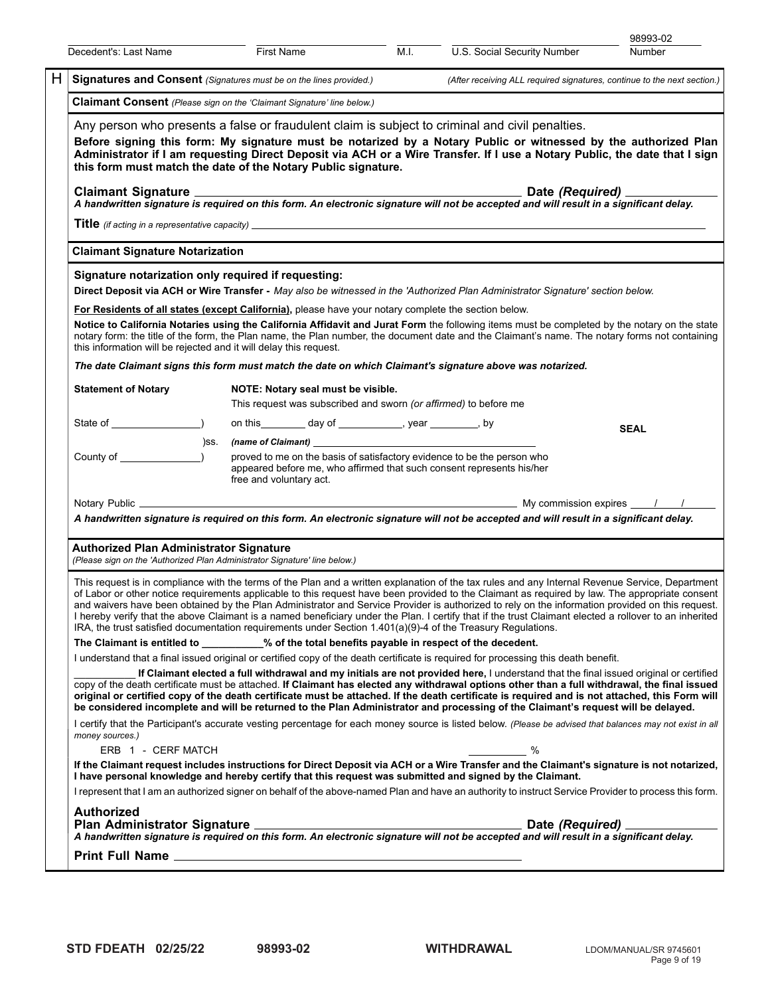|                                                                                                                                                                                                                                                                                                                                                                                                                                                                                                                                                                                                                                                                                                                                                               |                                                                                                                                                                                                                                                                                                                                                                                                                   |                   |                                                                                                                                                                                                                                              |      |                                                                                                                                        | 98993-02                                                                                                                                                                                                                                                                                                                                                                                                                                                                                                                                                                                                          |  |                    |  |
|---------------------------------------------------------------------------------------------------------------------------------------------------------------------------------------------------------------------------------------------------------------------------------------------------------------------------------------------------------------------------------------------------------------------------------------------------------------------------------------------------------------------------------------------------------------------------------------------------------------------------------------------------------------------------------------------------------------------------------------------------------------|-------------------------------------------------------------------------------------------------------------------------------------------------------------------------------------------------------------------------------------------------------------------------------------------------------------------------------------------------------------------------------------------------------------------|-------------------|----------------------------------------------------------------------------------------------------------------------------------------------------------------------------------------------------------------------------------------------|------|----------------------------------------------------------------------------------------------------------------------------------------|-------------------------------------------------------------------------------------------------------------------------------------------------------------------------------------------------------------------------------------------------------------------------------------------------------------------------------------------------------------------------------------------------------------------------------------------------------------------------------------------------------------------------------------------------------------------------------------------------------------------|--|--------------------|--|
| Decedent's: Last Name                                                                                                                                                                                                                                                                                                                                                                                                                                                                                                                                                                                                                                                                                                                                         |                                                                                                                                                                                                                                                                                                                                                                                                                   | <b>First Name</b> |                                                                                                                                                                                                                                              | M.I. | U.S. Social Security Number                                                                                                            | <b>Number</b>                                                                                                                                                                                                                                                                                                                                                                                                                                                                                                                                                                                                     |  |                    |  |
| H.                                                                                                                                                                                                                                                                                                                                                                                                                                                                                                                                                                                                                                                                                                                                                            | Signatures and Consent (Signatures must be on the lines provided.)<br>(After receiving ALL required signatures, continue to the next section.)                                                                                                                                                                                                                                                                    |                   |                                                                                                                                                                                                                                              |      |                                                                                                                                        |                                                                                                                                                                                                                                                                                                                                                                                                                                                                                                                                                                                                                   |  |                    |  |
|                                                                                                                                                                                                                                                                                                                                                                                                                                                                                                                                                                                                                                                                                                                                                               | <b>Claimant Consent</b> (Please sign on the 'Claimant Signature' line below.)                                                                                                                                                                                                                                                                                                                                     |                   |                                                                                                                                                                                                                                              |      |                                                                                                                                        |                                                                                                                                                                                                                                                                                                                                                                                                                                                                                                                                                                                                                   |  |                    |  |
|                                                                                                                                                                                                                                                                                                                                                                                                                                                                                                                                                                                                                                                                                                                                                               | Any person who presents a false or fraudulent claim is subject to criminal and civil penalties.<br>Before signing this form: My signature must be notarized by a Notary Public or witnessed by the authorized Plan<br>Administrator if I am requesting Direct Deposit via ACH or a Wire Transfer. If I use a Notary Public, the date that I sign<br>this form must match the date of the Notary Public signature. |                   |                                                                                                                                                                                                                                              |      |                                                                                                                                        |                                                                                                                                                                                                                                                                                                                                                                                                                                                                                                                                                                                                                   |  |                    |  |
| <b>Claimant Signature</b>                                                                                                                                                                                                                                                                                                                                                                                                                                                                                                                                                                                                                                                                                                                                     |                                                                                                                                                                                                                                                                                                                                                                                                                   |                   |                                                                                                                                                                                                                                              |      | A handwritten signature is required on this form. An electronic signature will not be accepted and will result in a significant delay. | Date (Required) ________                                                                                                                                                                                                                                                                                                                                                                                                                                                                                                                                                                                          |  |                    |  |
|                                                                                                                                                                                                                                                                                                                                                                                                                                                                                                                                                                                                                                                                                                                                                               |                                                                                                                                                                                                                                                                                                                                                                                                                   |                   |                                                                                                                                                                                                                                              |      | <b>Title</b> (if acting in a representative capacity)                                                                                  |                                                                                                                                                                                                                                                                                                                                                                                                                                                                                                                                                                                                                   |  |                    |  |
| <b>Claimant Signature Notarization</b>                                                                                                                                                                                                                                                                                                                                                                                                                                                                                                                                                                                                                                                                                                                        |                                                                                                                                                                                                                                                                                                                                                                                                                   |                   |                                                                                                                                                                                                                                              |      |                                                                                                                                        |                                                                                                                                                                                                                                                                                                                                                                                                                                                                                                                                                                                                                   |  |                    |  |
| Signature notarization only required if requesting:                                                                                                                                                                                                                                                                                                                                                                                                                                                                                                                                                                                                                                                                                                           |                                                                                                                                                                                                                                                                                                                                                                                                                   |                   |                                                                                                                                                                                                                                              |      |                                                                                                                                        |                                                                                                                                                                                                                                                                                                                                                                                                                                                                                                                                                                                                                   |  |                    |  |
|                                                                                                                                                                                                                                                                                                                                                                                                                                                                                                                                                                                                                                                                                                                                                               |                                                                                                                                                                                                                                                                                                                                                                                                                   |                   |                                                                                                                                                                                                                                              |      | Direct Deposit via ACH or Wire Transfer - May also be witnessed in the 'Authorized Plan Administrator Signature' section below.        |                                                                                                                                                                                                                                                                                                                                                                                                                                                                                                                                                                                                                   |  |                    |  |
| For Residents of all states (except California), please have your notary complete the section below.                                                                                                                                                                                                                                                                                                                                                                                                                                                                                                                                                                                                                                                          |                                                                                                                                                                                                                                                                                                                                                                                                                   |                   |                                                                                                                                                                                                                                              |      |                                                                                                                                        |                                                                                                                                                                                                                                                                                                                                                                                                                                                                                                                                                                                                                   |  |                    |  |
| this information will be rejected and it will delay this request.                                                                                                                                                                                                                                                                                                                                                                                                                                                                                                                                                                                                                                                                                             |                                                                                                                                                                                                                                                                                                                                                                                                                   |                   |                                                                                                                                                                                                                                              |      |                                                                                                                                        | Notice to California Notaries using the California Affidavit and Jurat Form the following items must be completed by the notary on the state<br>notary form: the title of the form, the Plan name, the Plan number, the document date and the Claimant's name. The notary forms not containing                                                                                                                                                                                                                                                                                                                    |  |                    |  |
|                                                                                                                                                                                                                                                                                                                                                                                                                                                                                                                                                                                                                                                                                                                                                               |                                                                                                                                                                                                                                                                                                                                                                                                                   |                   |                                                                                                                                                                                                                                              |      | The date Claimant signs this form must match the date on which Claimant's signature above was notarized.                               |                                                                                                                                                                                                                                                                                                                                                                                                                                                                                                                                                                                                                   |  |                    |  |
| <b>Statement of Notary</b>                                                                                                                                                                                                                                                                                                                                                                                                                                                                                                                                                                                                                                                                                                                                    |                                                                                                                                                                                                                                                                                                                                                                                                                   |                   | NOTE: Notary seal must be visible.<br>This request was subscribed and sworn (or affirmed) to before me                                                                                                                                       |      |                                                                                                                                        |                                                                                                                                                                                                                                                                                                                                                                                                                                                                                                                                                                                                                   |  |                    |  |
|                                                                                                                                                                                                                                                                                                                                                                                                                                                                                                                                                                                                                                                                                                                                                               |                                                                                                                                                                                                                                                                                                                                                                                                                   |                   |                                                                                                                                                                                                                                              |      |                                                                                                                                        |                                                                                                                                                                                                                                                                                                                                                                                                                                                                                                                                                                                                                   |  |                    |  |
|                                                                                                                                                                                                                                                                                                                                                                                                                                                                                                                                                                                                                                                                                                                                                               |                                                                                                                                                                                                                                                                                                                                                                                                                   |                   | on this _________ day of ______________, year _________, by                                                                                                                                                                                  |      |                                                                                                                                        | <b>SEAL</b>                                                                                                                                                                                                                                                                                                                                                                                                                                                                                                                                                                                                       |  |                    |  |
|                                                                                                                                                                                                                                                                                                                                                                                                                                                                                                                                                                                                                                                                                                                                                               | )SS.                                                                                                                                                                                                                                                                                                                                                                                                              |                   | (name of Claimant) and the contract of the contract of $\sim$<br>proved to me on the basis of satisfactory evidence to be the person who<br>appeared before me, who affirmed that such consent represents his/her<br>free and voluntary act. |      |                                                                                                                                        |                                                                                                                                                                                                                                                                                                                                                                                                                                                                                                                                                                                                                   |  |                    |  |
|                                                                                                                                                                                                                                                                                                                                                                                                                                                                                                                                                                                                                                                                                                                                                               |                                                                                                                                                                                                                                                                                                                                                                                                                   |                   |                                                                                                                                                                                                                                              |      |                                                                                                                                        |                                                                                                                                                                                                                                                                                                                                                                                                                                                                                                                                                                                                                   |  |                    |  |
|                                                                                                                                                                                                                                                                                                                                                                                                                                                                                                                                                                                                                                                                                                                                                               |                                                                                                                                                                                                                                                                                                                                                                                                                   |                   |                                                                                                                                                                                                                                              |      | A handwritten signature is required on this form. An electronic signature will not be accepted and will result in a significant delay. |                                                                                                                                                                                                                                                                                                                                                                                                                                                                                                                                                                                                                   |  |                    |  |
| <b>Authorized Plan Administrator Signature</b>                                                                                                                                                                                                                                                                                                                                                                                                                                                                                                                                                                                                                                                                                                                |                                                                                                                                                                                                                                                                                                                                                                                                                   |                   |                                                                                                                                                                                                                                              |      |                                                                                                                                        |                                                                                                                                                                                                                                                                                                                                                                                                                                                                                                                                                                                                                   |  |                    |  |
| (Please sign on the 'Authorized Plan Administrator Signature' line below.)                                                                                                                                                                                                                                                                                                                                                                                                                                                                                                                                                                                                                                                                                    |                                                                                                                                                                                                                                                                                                                                                                                                                   |                   |                                                                                                                                                                                                                                              |      |                                                                                                                                        |                                                                                                                                                                                                                                                                                                                                                                                                                                                                                                                                                                                                                   |  |                    |  |
|                                                                                                                                                                                                                                                                                                                                                                                                                                                                                                                                                                                                                                                                                                                                                               |                                                                                                                                                                                                                                                                                                                                                                                                                   |                   |                                                                                                                                                                                                                                              |      | IRA, the trust satisfied documentation requirements under Section 1.401(a)(9)-4 of the Treasury Regulations.                           | This request is in compliance with the terms of the Plan and a written explanation of the tax rules and any Internal Revenue Service, Department<br>of Labor or other notice requirements applicable to this request have been provided to the Claimant as required by law. The appropriate consent<br>and waivers have been obtained by the Plan Administrator and Service Provider is authorized to rely on the information provided on this request.<br>I hereby verify that the above Claimant is a named beneficiary under the Plan. I certify that if the trust Claimant elected a rollover to an inherited |  |                    |  |
| The Claimant is entitled to ________% of the total benefits payable in respect of the decedent.                                                                                                                                                                                                                                                                                                                                                                                                                                                                                                                                                                                                                                                               |                                                                                                                                                                                                                                                                                                                                                                                                                   |                   |                                                                                                                                                                                                                                              |      |                                                                                                                                        |                                                                                                                                                                                                                                                                                                                                                                                                                                                                                                                                                                                                                   |  |                    |  |
|                                                                                                                                                                                                                                                                                                                                                                                                                                                                                                                                                                                                                                                                                                                                                               |                                                                                                                                                                                                                                                                                                                                                                                                                   |                   |                                                                                                                                                                                                                                              |      | I understand that a final issued original or certified copy of the death certificate is required for processing this death benefit.    |                                                                                                                                                                                                                                                                                                                                                                                                                                                                                                                                                                                                                   |  |                    |  |
| If Claimant elected a full withdrawal and my initials are not provided here, I understand that the final issued original or certified<br>copy of the death certificate must be attached. If Claimant has elected any withdrawal options other than a full withdrawal, the final issued<br>original or certified copy of the death certificate must be attached. If the death certificate is required and is not attached, this Form will<br>be considered incomplete and will be returned to the Plan Administrator and processing of the Claimant's request will be delayed.<br>I certify that the Participant's accurate vesting percentage for each money source is listed below. (Please be advised that balances may not exist in all<br>money sources.) |                                                                                                                                                                                                                                                                                                                                                                                                                   |                   |                                                                                                                                                                                                                                              |      |                                                                                                                                        |                                                                                                                                                                                                                                                                                                                                                                                                                                                                                                                                                                                                                   |  |                    |  |
|                                                                                                                                                                                                                                                                                                                                                                                                                                                                                                                                                                                                                                                                                                                                                               |                                                                                                                                                                                                                                                                                                                                                                                                                   |                   |                                                                                                                                                                                                                                              |      |                                                                                                                                        |                                                                                                                                                                                                                                                                                                                                                                                                                                                                                                                                                                                                                   |  | ERB 1 - CERF MATCH |  |
|                                                                                                                                                                                                                                                                                                                                                                                                                                                                                                                                                                                                                                                                                                                                                               |                                                                                                                                                                                                                                                                                                                                                                                                                   |                   |                                                                                                                                                                                                                                              |      |                                                                                                                                        | I represent that I am an authorized signer on behalf of the above-named Plan and have an authority to instruct Service Provider to process this form.                                                                                                                                                                                                                                                                                                                                                                                                                                                             |  |                    |  |
| <b>Authorized</b>                                                                                                                                                                                                                                                                                                                                                                                                                                                                                                                                                                                                                                                                                                                                             |                                                                                                                                                                                                                                                                                                                                                                                                                   |                   |                                                                                                                                                                                                                                              |      |                                                                                                                                        |                                                                                                                                                                                                                                                                                                                                                                                                                                                                                                                                                                                                                   |  |                    |  |
|                                                                                                                                                                                                                                                                                                                                                                                                                                                                                                                                                                                                                                                                                                                                                               |                                                                                                                                                                                                                                                                                                                                                                                                                   |                   |                                                                                                                                                                                                                                              |      |                                                                                                                                        |                                                                                                                                                                                                                                                                                                                                                                                                                                                                                                                                                                                                                   |  |                    |  |
|                                                                                                                                                                                                                                                                                                                                                                                                                                                                                                                                                                                                                                                                                                                                                               |                                                                                                                                                                                                                                                                                                                                                                                                                   |                   |                                                                                                                                                                                                                                              |      |                                                                                                                                        |                                                                                                                                                                                                                                                                                                                                                                                                                                                                                                                                                                                                                   |  |                    |  |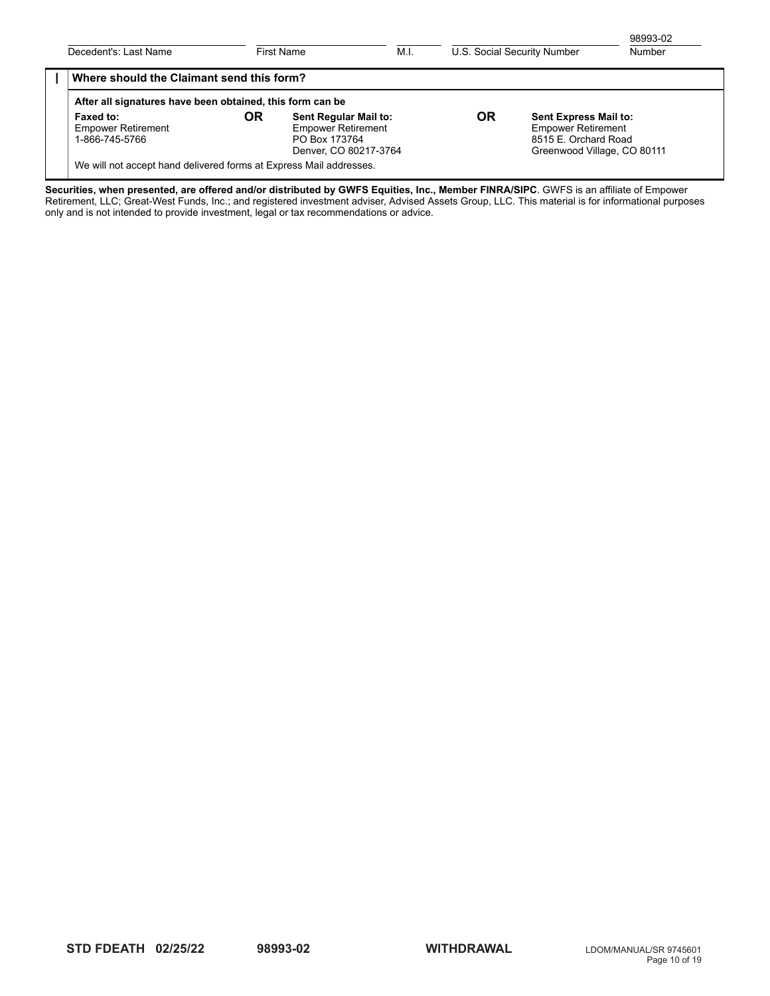| Decedent's: Last Name                                              | First Name |                                                                                                                                                                                                                               | M.I. | U.S. Social Security Number |  | 98993-02<br>Number |
|--------------------------------------------------------------------|------------|-------------------------------------------------------------------------------------------------------------------------------------------------------------------------------------------------------------------------------|------|-----------------------------|--|--------------------|
| Where should the Claimant send this form?                          |            |                                                                                                                                                                                                                               |      |                             |  |                    |
| After all signatures have been obtained, this form can be          |            |                                                                                                                                                                                                                               |      |                             |  |                    |
| Faxed to:<br><b>Empower Retirement</b><br>1-866-745-5766           | OR         | <b>OR</b><br>Sent Regular Mail to:<br><b>Sent Express Mail to:</b><br><b>Empower Retirement</b><br><b>Empower Retirement</b><br>8515 E. Orchard Road<br>PO Box 173764<br>Denver, CO 80217-3764<br>Greenwood Village, CO 80111 |      |                             |  |                    |
| We will not accept hand delivered forms at Express Mail addresses. |            |                                                                                                                                                                                                                               |      |                             |  |                    |

**Securities, when presented, are offered and/or distributed by GWFS Equities, Inc., Member FINRA/SIPC**. GWFS is an affiliate of Empower Retirement, LLC; Great-West Funds, Inc.; and registered investment adviser, Advised Assets Group, LLC. This material is for informational purposes only and is not intended to provide investment, legal or tax recommendations or advice.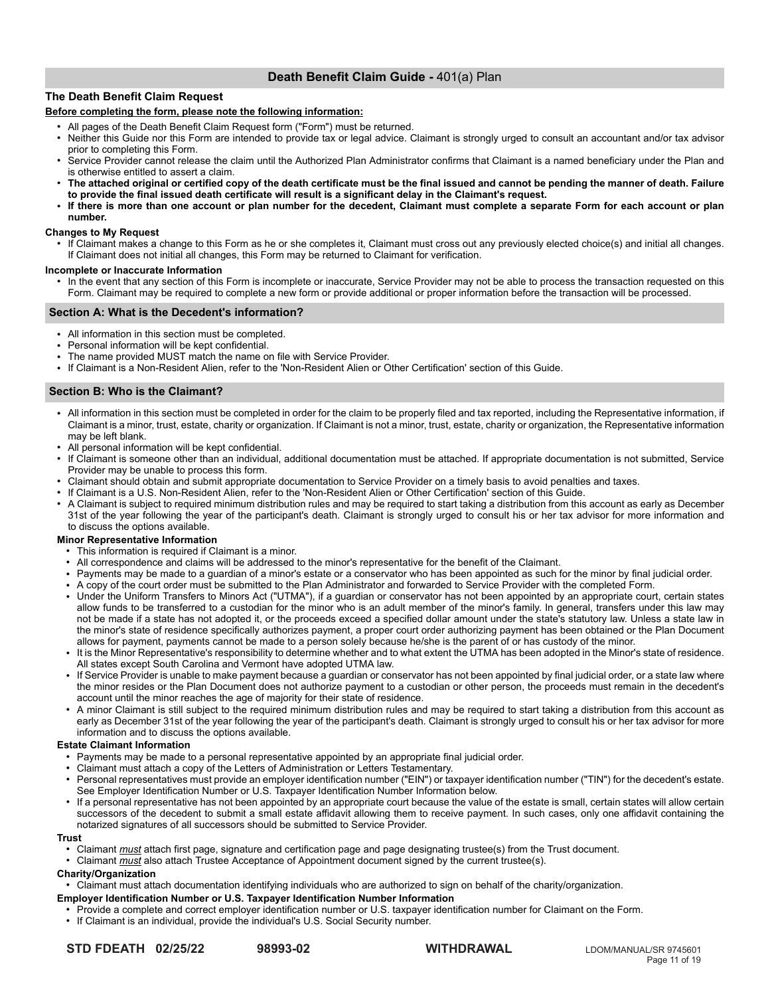# **Death Benefit Claim Guide -** 401(a) Plan

# **The Death Benefit Claim Request**

# **Before completing the form, please note the following information:**

- All pages of the Death Benefit Claim Request form ("Form") must be returned.
- Neither this Guide nor this Form are intended to provide tax or legal advice. Claimant is strongly urged to consult an accountant and/or tax advisor prior to completing this Form.
- Service Provider cannot release the claim until the Authorized Plan Administrator confirms that Claimant is a named beneficiary under the Plan and is otherwise entitled to assert a claim.
- The attached original or certified copy of the death certificate must be the final issued and cannot be pending the manner of death. Failure **to provide the final issued death certificate will result is a significant delay in the Claimant's request.**
- If there is more than one account or plan number for the decedent, Claimant must complete a separate Form for each account or plan **number.**

# **Changes to My Request**

● If Claimant makes a change to this Form as he or she completes it, Claimant must cross out any previously elected choice(s) and initial all changes. If Claimant does not initial all changes, this Form may be returned to Claimant for verification.

# **Incomplete or Inaccurate Information**

In the event that any section of this Form is incomplete or inaccurate, Service Provider may not be able to process the transaction requested on this Form. Claimant may be required to complete a new form or provide additional or proper information before the transaction will be processed.

# **Section A: What is the Decedent's information?**

- All information in this section must be completed.
- Personal information will be kept confidential.
- The name provided MUST match the name on file with Service Provider.
- If Claimant is a Non-Resident Alien, refer to the 'Non-Resident Alien or Other Certification' section of this Guide.

# **Section B: Who is the Claimant?**

- All information in this section must be completed in order for the claim to be properly filed and tax reported, including the Representative information, if Claimant is a minor, trust, estate, charity or organization. If Claimant is not a minor, trust, estate, charity or organization, the Representative information may be left blank.
- All personal information will be kept confidential.
- If Claimant is someone other than an individual, additional documentation must be attached. If appropriate documentation is not submitted, Service Provider may be unable to process this form.
- Claimant should obtain and submit appropriate documentation to Service Provider on a timely basis to avoid penalties and taxes.
- If Claimant is a U.S. Non-Resident Alien, refer to the 'Non-Resident Alien or Other Certification' section of this Guide.
- A Claimant is subject to required minimum distribution rules and may be required to start taking a distribution from this account as early as December 31st of the year following the year of the participant's death. Claimant is strongly urged to consult his or her tax advisor for more information and to discuss the options available.

## **Minor Representative Information**

- This information is required if Claimant is a minor.
- All correspondence and claims will be addressed to the minor's representative for the benefit of the Claimant.
- Payments may be made to a guardian of a minor's estate or a conservator who has been appointed as such for the minor by final judicial order.
- A copy of the court order must be submitted to the Plan Administrator and forwarded to Service Provider with the completed Form.
- Under the Uniform Transfers to Minors Act ("UTMA"), if a guardian or conservator has not been appointed by an appropriate court, certain states allow funds to be transferred to a custodian for the minor who is an adult member of the minor's family. In general, transfers under this law may not be made if a state has not adopted it, or the proceeds exceed a specified dollar amount under the state's statutory law. Unless a state law in the minor's state of residence specifically authorizes payment, a proper court order authorizing payment has been obtained or the Plan Document allows for payment, payments cannot be made to a person solely because he/she is the parent of or has custody of the minor.
- It is the Minor Representative's responsibility to determine whether and to what extent the UTMA has been adopted in the Minor's state of residence. All states except South Carolina and Vermont have adopted UTMA law.
- If Service Provider is unable to make payment because a guardian or conservator has not been appointed by final judicial order, or a state law where the minor resides or the Plan Document does not authorize payment to a custodian or other person, the proceeds must remain in the decedent's account until the minor reaches the age of majority for their state of residence.
- A minor Claimant is still subject to the required minimum distribution rules and may be required to start taking a distribution from this account as early as December 31st of the year following the year of the participant's death. Claimant is strongly urged to consult his or her tax advisor for more information and to discuss the options available.

# **Estate Claimant Information**

- Payments may be made to a personal representative appointed by an appropriate final judicial order.
- Claimant must attach a copy of the Letters of Administration or Letters Testamentary.
- Personal representatives must provide an employer identification number ("EIN") or taxpayer identification number ("TIN") for the decedent's estate. See Employer Identification Number or U.S. Taxpayer Identification Number Information below.
- If a personal representative has not been appointed by an appropriate court because the value of the estate is small, certain states will allow certain successors of the decedent to submit a small estate affidavit allowing them to receive payment. In such cases, only one affidavit containing the notarized signatures of all successors should be submitted to Service Provider.

## **Trust**

- Claimant *must* attach first page, signature and certification page and page designating trustee(s) from the Trust document.
- Claimant *must* also attach Trustee Acceptance of Appointment document signed by the current trustee(s).

# **Charity/Organization**

● Claimant must attach documentation identifying individuals who are authorized to sign on behalf of the charity/organization.

# **Employer Identification Number or U.S. Taxpayer Identification Number Information**

- Provide a complete and correct employer identification number or U.S. taxpayer identification number for Claimant on the Form.
- If Claimant is an individual, provide the individual's U.S. Social Security number.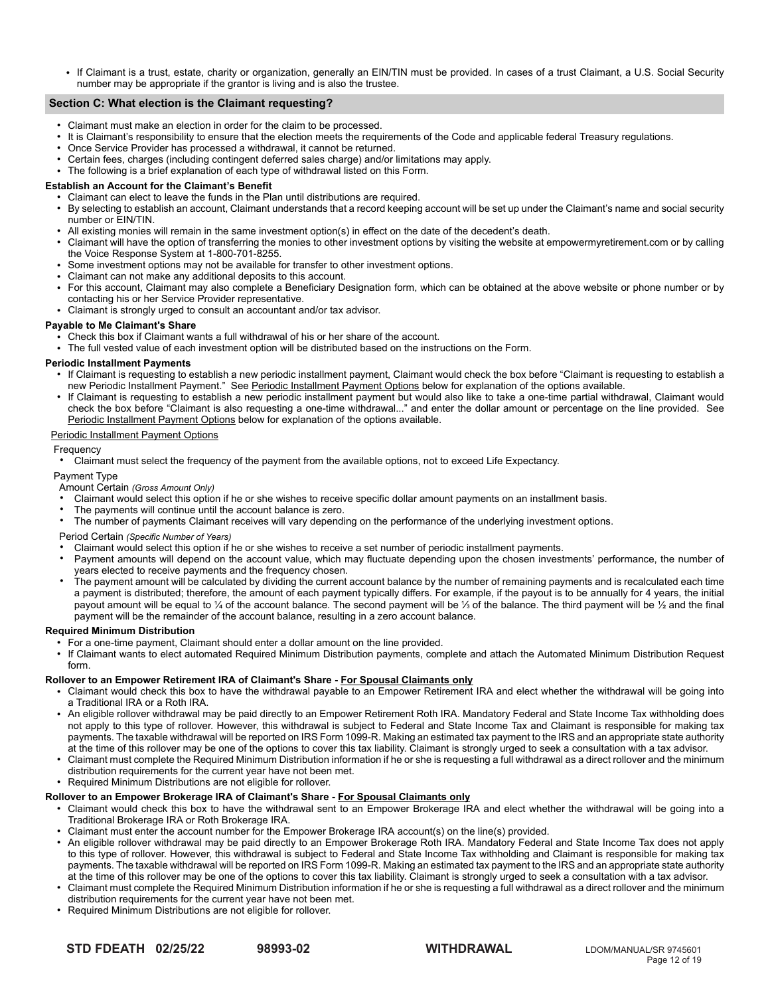If Claimant is a trust, estate, charity or organization, generally an EIN/TIN must be provided. In cases of a trust Claimant, a U.S. Social Security number may be appropriate if the grantor is living and is also the trustee.

# **Section C: What election is the Claimant requesting?**

- Claimant must make an election in order for the claim to be processed.
- It is Claimant's responsibility to ensure that the election meets the requirements of the Code and applicable federal Treasury regulations.
- Once Service Provider has processed a withdrawal, it cannot be returned.
- Certain fees, charges (including contingent deferred sales charge) and/or limitations may apply.
- The following is a brief explanation of each type of withdrawal listed on this Form.

#### **Establish an Account for the Claimant's Benefit**

- $\overline{a}$  Claimant can elect to leave the funds in the Plan until distributions are required. ● By selecting to establish an account, Claimant understands that a record keeping account will be set up under the Claimant's name and social security number or EIN/TIN.
- All existing monies will remain in the same investment option(s) in effect on the date of the decedent's death.
- Claimant will have the option of transferring the monies to other investment options by visiting the website at empowermyretirement.com or by calling the Voice Response System at 1-800-701-8255.
- Some investment options may not be available for transfer to other investment options.
- Claimant can not make any additional deposits to this account.
- For this account, Claimant may also complete a Beneficiary Designation form, which can be obtained at the above website or phone number or by contacting his or her Service Provider representative.
- Claimant is strongly urged to consult an accountant and/or tax advisor.

#### **Payable to Me Claimant's Share**

- $\cdot$  Check this box if Claimant wants a full withdrawal of his or her share of the account.
- The full vested value of each investment option will be distributed based on the instructions on the Form.

## **Periodic Installment Payments**

- If Claimant is requesting to establish a new periodic installment payment, Claimant would check the box before "Claimant is requesting to establish a new Periodic Installment Payment." See Periodic Installment Payment Options below for explanation of the options available.
- If Claimant is requesting to establish a new periodic installment payment but would also like to take a one-time partial withdrawal, Claimant would check the box before "Claimant is also requesting a one-time withdrawal..." and enter the dollar amount or percentage on the line provided. See Periodic Installment Payment Options below for explanation of the options available.

#### Periodic Installment Payment Options

#### Frequency

Claimant must select the frequency of the payment from the available options, not to exceed Life Expectancy.

# Payment Type

- Amount Certain *(Gross Amount Only)*
- Claimant would select this option if he or she wishes to receive specific dollar amount payments on an installment basis.
- The payments will continue until the account balance is zero.
- The number of payments Claimant receives will vary depending on the performance of the underlying investment options.

# Period Certain *(Specific Number of Years)*

- Claimant would select this option if he or she wishes to receive a set number of periodic installment payments.
- Payment amounts will depend on the account value, which may fluctuate depending upon the chosen investments' performance, the number of years elected to receive payments and the frequency chosen.
- The payment amount will be calculated by dividing the current account balance by the number of remaining payments and is recalculated each time a payment is distributed; therefore, the amount of each payment typically differs. For example, if the payout is to be annually for 4 years, the initial payout amount will be equal to ¼ of the account balance. The second payment will be ¼ of the balance. The third payment will be ¼ and the final payment will be the remainder of the account balance, resulting in a zero account balance.

## **Required Minimum Distribution**

- For a one-time payment, Claimant should enter a dollar amount on the line provided.
- If Claimant wants to elect automated Required Minimum Distribution payments, complete and attach the Automated Minimum Distribution Request form.

#### **Rollover to an Empower Retirement IRA of Claimant's Share - For Spousal Claimants only**

- Claimant would check this box to have the withdrawal payable to an Empower Retirement IRA and elect whether the withdrawal will be going into a Traditional IRA or a Roth IRA.
- An eligible rollover withdrawal may be paid directly to an Empower Retirement Roth IRA. Mandatory Federal and State Income Tax withholding does not apply to this type of rollover. However, this withdrawal is subject to Federal and State Income Tax and Claimant is responsible for making tax payments. The taxable withdrawal will be reported on IRS Form 1099-R. Making an estimated tax payment to the IRS and an appropriate state authority at the time of this rollover may be one of the options to cover this tax liability. Claimant is strongly urged to seek a consultation with a tax advisor.
- Claimant must complete the Required Minimum Distribution information if he or she is requesting a full withdrawal as a direct rollover and the minimum distribution requirements for the current year have not been met.
- Required Minimum Distributions are not eligible for rollover.

## **Rollover to an Empower Brokerage IRA of Claimant's Share - For Spousal Claimants only**

- Claimant would check this box to have the withdrawal sent to an Empower Brokerage IRA and elect whether the withdrawal will be going into a Traditional Brokerage IRA or Roth Brokerage IRA.
- Claimant must enter the account number for the Empower Brokerage IRA account(s) on the line(s) provided.
- An eligible rollover withdrawal may be paid directly to an Empower Brokerage Roth IRA. Mandatory Federal and State Income Tax does not apply to this type of rollover. However, this withdrawal is subject to Federal and State Income Tax withholding and Claimant is responsible for making tax payments. The taxable withdrawal will be reported on IRS Form 1099-R. Making an estimated tax payment to the IRS and an appropriate state authority at the time of this rollover may be one of the options to cover this tax liability. Claimant is strongly urged to seek a consultation with a tax advisor.
- Claimant must complete the Required Minimum Distribution information if he or she is requesting a full withdrawal as a direct rollover and the minimum distribution requirements for the current year have not been met.
- Required Minimum Distributions are not eligible for rollover.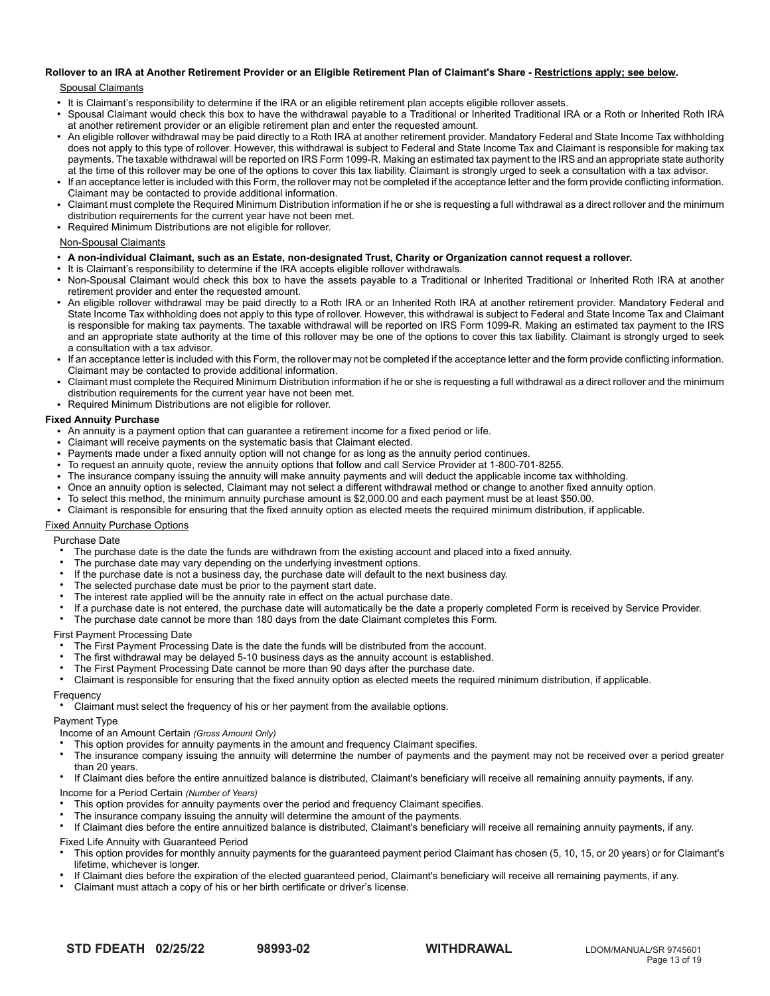# **Rollover to an IRA at Another Retirement Provider or an Eligible Retirement Plan of Claimant's Share - Restrictions apply; see below.**

# Spousal Claimants

- It is Claimant's responsibility to determine if the IRA or an eligible retirement plan accepts eligible rollover assets.
- Spousal Claimant would check this box to have the withdrawal payable to a Traditional or Inherited Traditional IRA or a Roth or Inherited Roth IRA at another retirement provider or an eligible retirement plan and enter the requested amount.
- An eligible rollover withdrawal may be paid directly to a Roth IRA at another retirement provider. Mandatory Federal and State Income Tax withholding does not apply to this type of rollover. However, this withdrawal is subject to Federal and State Income Tax and Claimant is responsible for making tax payments. The taxable withdrawal will be reported on IRS Form 1099-R. Making an estimated tax payment to the IRS and an appropriate state authority at the time of this rollover may be one of the options to cover this tax liability. Claimant is strongly urged to seek a consultation with a tax advisor.
- If an acceptance letter is included with this Form, the rollover may not be completed if the acceptance letter and the form provide conflicting information. Claimant may be contacted to provide additional information.
- Claimant must complete the Required Minimum Distribution information if he or she is requesting a full withdrawal as a direct rollover and the minimum distribution requirements for the current year have not been met.
- Required Minimum Distributions are not eligible for rollover.

# Non-Spousal Claimants

- **A non-individual Claimant, such as an Estate, non-designated Trust, Charity or Organization cannot request a rollover.**
- It is Claimant's responsibility to determine if the IRA accepts eligible rollover withdrawals.
- Non-Spousal Claimant would check this box to have the assets payable to a Traditional or Inherited Traditional or Inherited Roth IRA at another retirement provider and enter the requested amount.
- An eligible rollover withdrawal may be paid directly to a Roth IRA or an Inherited Roth IRA at another retirement provider. Mandatory Federal and State Income Tax withholding does not apply to this type of rollover. However, this withdrawal is subject to Federal and State Income Tax and Claimant is responsible for making tax payments. The taxable withdrawal will be reported on IRS Form 1099-R. Making an estimated tax payment to the IRS and an appropriate state authority at the time of this rollover may be one of the options to cover this tax liability. Claimant is strongly urged to seek a consultation with a tax advisor.
- If an acceptance letter is included with this Form, the rollover may not be completed if the acceptance letter and the form provide conflicting information. Claimant may be contacted to provide additional information.
- Claimant must complete the Required Minimum Distribution information if he or she is requesting a full withdrawal as a direct rollover and the minimum distribution requirements for the current year have not been met.
- Required Minimum Distributions are not eligible for rollover.

# **Fixed Annuity Purchase**

- An annuity is a payment option that can guarantee a retirement income for a fixed period or life.
- Claimant will receive payments on the systematic basis that Claimant elected.
- Payments made under a fixed annuity option will not change for as long as the annuity period continues.
- To request an annuity quote, review the annuity options that follow and call Service Provider at 1-800-701-8255.
- The insurance company issuing the annuity will make annuity payments and will deduct the applicable income tax withholding.
- Once an annuity option is selected, Claimant may not select a different withdrawal method or change to another fixed annuity option.
- To select this method, the minimum annuity purchase amount is \$2,000.00 and each payment must be at least \$50.00.
- Claimant is responsible for ensuring that the fixed annuity option as elected meets the required minimum distribution, if applicable.

# Fixed Annuity Purchase Options

Purchase Date

- The purchase date is the date the funds are withdrawn from the existing account and placed into a fixed annuity.
- The purchase date may vary depending on the underlying investment options.
- If the purchase date is not a business day, the purchase date will default to the next business day.
- The selected purchase date must be prior to the payment start date.
- The interest rate applied will be the annuity rate in effect on the actual purchase date.
- If a purchase date is not entered, the purchase date will automatically be the date a properly completed Form is received by Service Provider.
- The purchase date cannot be more than 180 days from the date Claimant completes this Form.

# First Payment Processing Date

- The First Payment Processing Date is the date the funds will be distributed from the account.
- The first withdrawal may be delayed 5-10 business days as the annuity account is established.
- The First Payment Processing Date cannot be more than 90 days after the purchase date.
- Claimant is responsible for ensuring that the fixed annuity option as elected meets the required minimum distribution, if applicable.

# **Frequency**

Claimant must select the frequency of his or her payment from the available options.

# Payment Type

- Income of an Amount Certain *(Gross Amount Only)*
- This option provides for annuity payments in the amount and frequency Claimant specifies.
- The insurance company issuing the annuity will determine the number of payments and the payment may not be received over a period greater than 20 years.
- If Claimant dies before the entire annuitized balance is distributed, Claimant's beneficiary will receive all remaining annuity payments, if any.

Income for a Period Certain *(Number of Years)*

- This option provides for annuity payments over the period and frequency Claimant specifies.
- The insurance company issuing the annuity will determine the amount of the payments.

If Claimant dies before the entire annuitized balance is distributed, Claimant's beneficiary will receive all remaining annuity payments, if any.

# Fixed Life Annuity with Guaranteed Period

- This option provides for monthly annuity payments for the guaranteed payment period Claimant has chosen (5, 10, 15, or 20 years) or for Claimant's lifetime, whichever is longer.
- If Claimant dies before the expiration of the elected guaranteed period, Claimant's beneficiary will receive all remaining payments, if any.
- Claimant must attach a copy of his or her birth certificate or driver's license.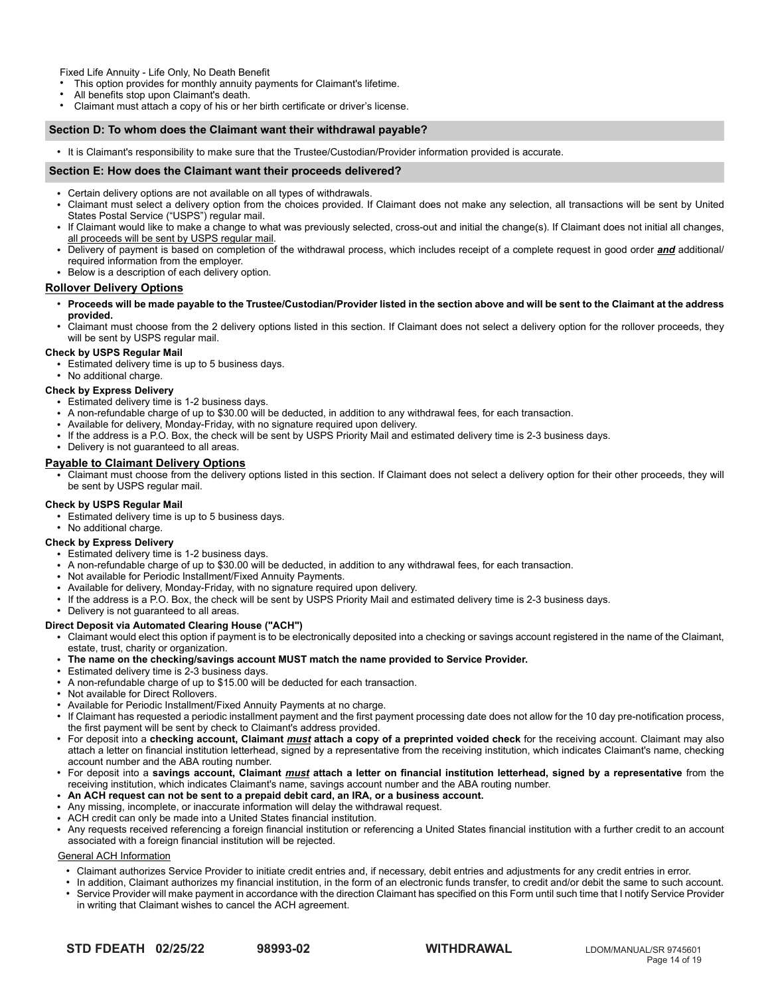Fixed Life Annuity - Life Only, No Death Benefit

This option provides for monthly annuity payments for Claimant's lifetime.

- All benefits stop upon Claimant's death.
- Claimant must attach a copy of his or her birth certificate or driver's license.

# **Section D: To whom does the Claimant want their withdrawal payable?**

● It is Claimant's responsibility to make sure that the Trustee/Custodian/Provider information provided is accurate.

#### **Section E: How does the Claimant want their proceeds delivered?**

- Certain delivery options are not available on all types of withdrawals.
- Claimant must select a delivery option from the choices provided. If Claimant does not make any selection, all transactions will be sent by United States Postal Service ("USPS") regular mail.
- If Claimant would like to make a change to what was previously selected, cross-out and initial the change(s). If Claimant does not initial all changes, all proceeds will be sent by USPS regular mail.
- Delivery of payment is based on completion of the withdrawal process, which includes receipt of a complete request in good order *and* additional/ required information from the employer.
- Below is a description of each delivery option.

# **Rollover Delivery Options**

- **Proceeds will be made payable to the Trustee/Custodian/Provider listed in the section above and will be sent to the Claimant at the address provided.**
- Claimant must choose from the 2 delivery options listed in this section. If Claimant does not select a delivery option for the rollover proceeds, they will be sent by USPS regular mail.

# **Check by USPS Regular Mail**

 $\cdot$  Estimated delivery time is up to 5 business days.

• No additional charge.

#### **Check by Express Delivery**

- Estimated delivery time is 1-2 business days.
- A non-refundable charge of up to \$30.00 will be deducted, in addition to any withdrawal fees, for each transaction.
- Available for delivery, Monday-Friday, with no signature required upon delivery.
- If the address is a P.O. Box, the check will be sent by USPS Priority Mail and estimated delivery time is 2-3 business days.
- Delivery is not guaranteed to all areas.

# **Payable to Claimant Delivery Options**

● Claimant must choose from the delivery options listed in this section. If Claimant does not select a delivery option for their other proceeds, they will be sent by USPS regular mail.

## **Check by USPS Regular Mail**

- **Estimated delivery time is up to 5 business days.**
- No additional charge.

## **Check by Express Delivery**

- Estimated delivery time is 1-2 business days.
- A non-refundable charge of up to \$30.00 will be deducted, in addition to any withdrawal fees, for each transaction.
- Not available for Periodic Installment/Fixed Annuity Payments.
- Available for delivery, Monday-Friday, with no signature required upon delivery.
- If the address is a P.O. Box, the check will be sent by USPS Priority Mail and estimated delivery time is 2-3 business days.
- Delivery is not quaranteed to all areas.

## **Direct Deposit via Automated Clearing House ("ACH")**

- Claimant would elect this option if payment is to be electronically deposited into a checking or savings account registered in the name of the Claimant, estate, trust, charity or organization.
- **The name on the checking/savings account MUST match the name provided to Service Provider.**
- Estimated delivery time is 2-3 business days.
- A non-refundable charge of up to \$15.00 will be deducted for each transaction.
- Not available for Direct Rollovers.
- Available for Periodic Installment/Fixed Annuity Payments at no charge.
- If Claimant has requested a periodic installment payment and the first payment processing date does not allow for the 10 day pre-notification process, the first payment will be sent by check to Claimant's address provided.
- For deposit into a **checking account, Claimant** *must* **attach a copy of a preprinted voided check** for the receiving account. Claimant may also attach a letter on financial institution letterhead, signed by a representative from the receiving institution, which indicates Claimant's name, checking account number and the ABA routing number.
- For deposit into a **savings account, Claimant** *must* **attach a letter on financial institution letterhead, signed by a representative** from the receiving institution, which indicates Claimant's name, savings account number and the ABA routing number.
- **An ACH request can not be sent to a prepaid debit card, an IRA, or a business account.**
- Any missing, incomplete, or inaccurate information will delay the withdrawal request.
- ACH credit can only be made into a United States financial institution.
- Any requests received referencing a foreign financial institution or referencing a United States financial institution with a further credit to an account associated with a foreign financial institution will be rejected.

## General ACH Information

- Claimant authorizes Service Provider to initiate credit entries and, if necessary, debit entries and adjustments for any credit entries in error.
- In addition, Claimant authorizes my financial institution, in the form of an electronic funds transfer, to credit and/or debit the same to such account. Service Provider will make payment in accordance with the direction Claimant has specified on this Form until such time that I notify Service Provider in writing that Claimant wishes to cancel the ACH agreement.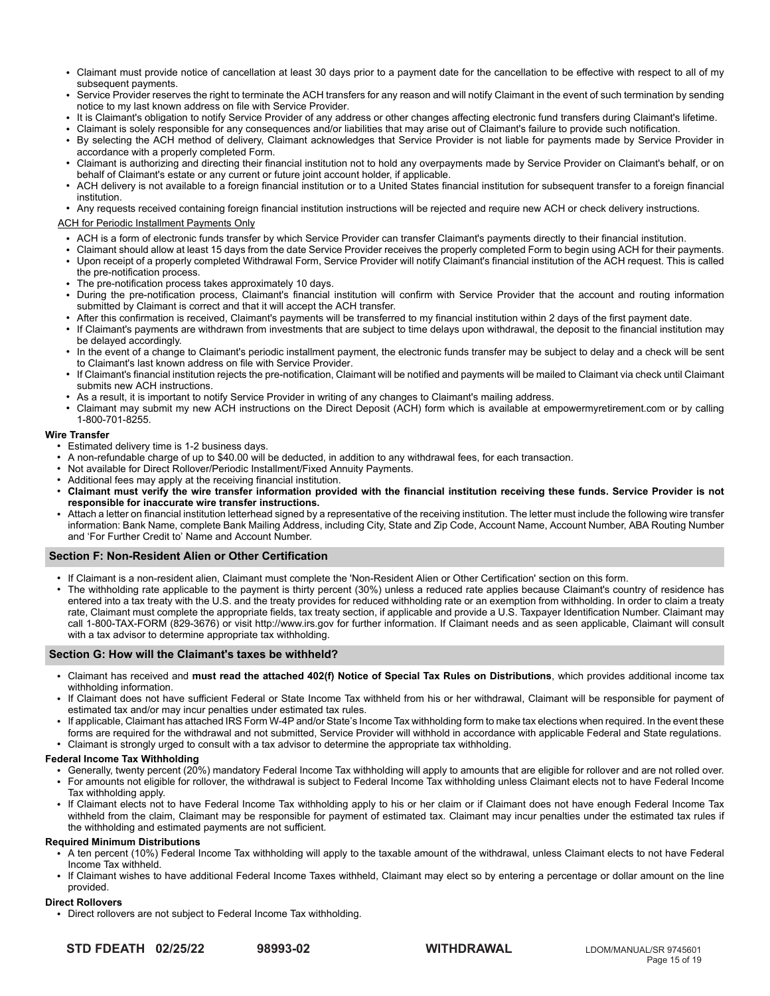- Claimant must provide notice of cancellation at least 30 days prior to a payment date for the cancellation to be effective with respect to all of my subsequent payments.
- Service Provider reserves the right to terminate the ACH transfers for any reason and will notify Claimant in the event of such termination by sending notice to my last known address on file with Service Provider.
- It is Claimant's obligation to notify Service Provider of any address or other changes affecting electronic fund transfers during Claimant's lifetime.
- Claimant is solely responsible for any consequences and/or liabilities that may arise out of Claimant's failure to provide such notification.
- By selecting the ACH method of delivery, Claimant acknowledges that Service Provider is not liable for payments made by Service Provider in accordance with a properly completed Form.
- Claimant is authorizing and directing their financial institution not to hold any overpayments made by Service Provider on Claimant's behalf, or on behalf of Claimant's estate or any current or future joint account holder, if applicable.
- ACH delivery is not available to a foreign financial institution or to a United States financial institution for subsequent transfer to a foreign financial institution.

Any requests received containing foreign financial institution instructions will be rejected and require new ACH or check delivery instructions.

# ACH for Periodic Installment Payments Only

- ACH is a form of electronic funds transfer by which Service Provider can transfer Claimant's payments directly to their financial institution.
- Claimant should allow at least 15 days from the date Service Provider receives the properly completed Form to begin using ACH for their payments.
- Upon receipt of a properly completed Withdrawal Form, Service Provider will notify Claimant's financial institution of the ACH request. This is called the pre-notification process.
- The pre-notification process takes approximately 10 days.
- During the pre-notification process, Claimant's financial institution will confirm with Service Provider that the account and routing information submitted by Claimant is correct and that it will accept the ACH transfer.
- After this confirmation is received, Claimant's payments will be transferred to my financial institution within 2 days of the first payment date.
- If Claimant's payments are withdrawn from investments that are subject to time delays upon withdrawal, the deposit to the financial institution may be delayed accordingly.
- In the event of a change to Claimant's periodic installment payment, the electronic funds transfer may be subject to delay and a check will be sent to Claimant's last known address on file with Service Provider.
- If Claimant's financial institution rejects the pre-notification, Claimant will be notified and payments will be mailed to Claimant via check until Claimant submits new ACH instructions.
- As a result, it is important to notify Service Provider in writing of any changes to Claimant's mailing address.
- Claimant may submit my new ACH instructions on the Direct Deposit (ACH) form which is available at empowermyretirement.com or by calling 1-800-701-8255.

## **Wire Transfer**

- Estimated delivery time is 1-2 business days.
- A non-refundable charge of up to \$40.00 will be deducted, in addition to any withdrawal fees, for each transaction.
- Not available for Direct Rollover/Periodic Installment/Fixed Annuity Payments.
- Additional fees may apply at the receiving financial institution.
- **Claimant must verify the wire transfer information provided with the financial institution receiving these funds. Service Provider is not responsible for inaccurate wire transfer instructions.**
- Attach a letter on financial institution letterhead signed by a representative of the receiving institution. The letter must include the following wire transfer information: Bank Name, complete Bank Mailing Address, including City, State and Zip Code, Account Name, Account Number, ABA Routing Number and 'For Further Credit to' Name and Account Number.

# **Section F: Non-Resident Alien or Other Certification**

- If Claimant is a non-resident alien, Claimant must complete the 'Non-Resident Alien or Other Certification' section on this form.
- The withholding rate applicable to the payment is thirty percent (30%) unless a reduced rate applies because Claimant's country of residence has entered into a tax treaty with the U.S. and the treaty provides for reduced withholding rate or an exemption from withholding. In order to claim a treaty rate, Claimant must complete the appropriate fields, tax treaty section, if applicable and provide a U.S. Taxpayer Identification Number. Claimant may call 1-800-TAX-FORM (829-3676) or visit http://www.irs.gov for further information. If Claimant needs and as seen applicable, Claimant will consult with a tax advisor to determine appropriate tax withholding.

## **Section G: How will the Claimant's taxes be withheld?**

- Claimant has received and **must read the attached 402(f) Notice of Special Tax Rules on Distributions**, which provides additional income tax withholding information.
- If Claimant does not have sufficient Federal or State Income Tax withheld from his or her withdrawal, Claimant will be responsible for payment of estimated tax and/or may incur penalties under estimated tax rules.
- If applicable, Claimant has attached IRS Form W-4P and/or State's Income Tax withholding form to make tax elections when required. In the event these forms are required for the withdrawal and not submitted, Service Provider will withhold in accordance with applicable Federal and State regulations.
- Claimant is strongly urged to consult with a tax advisor to determine the appropriate tax withholding.

# **Federal Income Tax Withholding**

- Generally, twenty percent (20%) mandatory Federal Income Tax withholding will apply to amounts that are eligible for rollover and are not rolled over.
- For amounts not eligible for rollover, the withdrawal is subject to Federal Income Tax withholding unless Claimant elects not to have Federal Income Tax withholding apply.
- If Claimant elects not to have Federal Income Tax withholding apply to his or her claim or if Claimant does not have enough Federal Income Tax withheld from the claim, Claimant may be responsible for payment of estimated tax. Claimant may incur penalties under the estimated tax rules if the withholding and estimated payments are not sufficient.

## **Required Minimum Distributions**

- A ten percent (10%) Federal Income Tax withholding will apply to the taxable amount of the withdrawal, unless Claimant elects to not have Federal Income Tax withheld.
- If Claimant wishes to have additional Federal Income Taxes withheld, Claimant may elect so by entering a percentage or dollar amount on the line provided.

## **Direct Rollovers**

• Direct rollovers are not subject to Federal Income Tax withholding.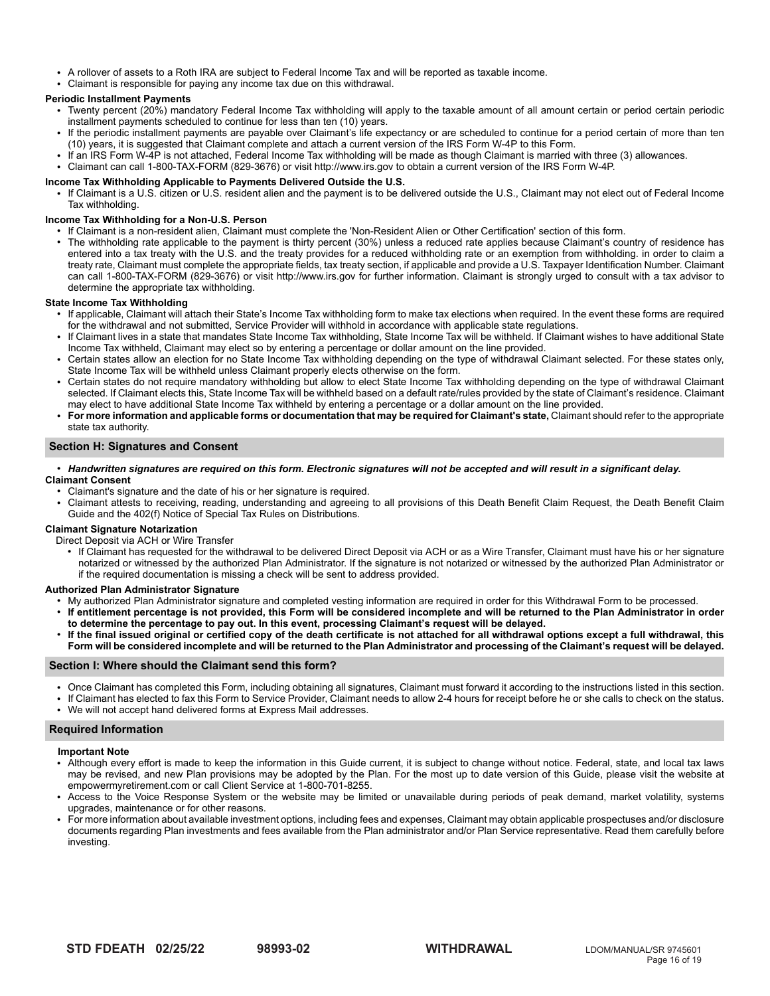- A rollover of assets to a Roth IRA are subject to Federal Income Tax and will be reported as taxable income.
	- Claimant is responsible for paying any income tax due on this withdrawal. ● If an IRS Form W-4P is not attached, Federal Income Tax withholding will be made as though I am married with three (3) allowances.

# **Periodic Installment Payments**

- riouic installment Payments<br>• Twenty percent (20%) mandatory Federal Income Tax withholding will apply to the taxable amount of all amount certain or period certain periodic installment payments scheduled to continue for less than ten (10) years. • I wenty percent (20%) mandatory Federal income Tax withholding will apply to the taxable amount
- If the periodic installment payments are payable over Claimant's life expectancy or are scheduled to continue for a period certain of more than ten (10) years, it is suggested that Claimant complete and attach a current version of the IRS Form W-4P to this Form.
	- If an IRS Form W-4P is not attached, Federal Income Tax withholding will be made as though Claimant is married with three (3) allowances.
- Claimant can call 1-800-TAX-FORM (829-3676) or visit http://www.irs.gov to obtain a current version of the IRS Form W-4P.

# Income Tax Withholding Applicable to Payments Delivered Outside the U.S. **Income** Tax Withholding Applicable to P

• If Claimant is a U.S. citizen or U.S. resident alien and the payment is to be delivered outside the U.S., Claimant may not elect out of Federal Income Tax withholding. into a tax treaty with the U.S. and the treaty with the treaty provides for an exemption from withholding rate or and withholding rate or an exemption from withholding.

# Income Tax Withholding for a Non-U.S. Person rate, I must complete the appropriate fields, the appropriate field<br>Income Tax Withholding for a Non-U.S. Person

- come Tax withholding for a Non-0.5. Person<br>• If Claimant is a non-resident alien, Claimant must complete the 'Non-Resident Alien or Other Certification' section of this form. m Claimant is a non-resident all<br>The contribution
- The withholding rate applicable to the payment is thirty percent (30%) unless a reduced rate applies because Claimant's country of residence has entered into a tax treaty with the U.S. and the treaty provides for a reduced withholding rate or an exemption from withholding. in order to claim a treaty rate, Claimant must complete the appropriate fields, tax treaty section, if applicable and provide a U.S. Taxpayer Identification Number. Claimant can call 1-800-TAX-FORM (829-3676) or visit http://www.irs.gov for further information. Claimant is strongly urged to consult with a tax advisor to editions for the state Individual Control of the state income Tax with the state income Tax withholding.<br>Betermine the appropriate tax withholding.

# **State Income Tax Withholding** with included. I may extend a percentage or dollar and provided. It is a percentage or dollar amount of  $\alpha$  percentage or dollar amount of  $\alpha$  percentage or dollar amount of  $\alpha$  percentage

- ate income Tax withholding<br>• If applicable, Claimant will attach their State's Income Tax withholding form to make tax elections when required. In the event these forms are required for the withdrawal and not submitted, Service Provider will withhold in accordance with applicable state regulations. n applicable, Claimant will attach their State s Income Tax withholding form to make ta
- or the withdrawal and not submitted, Service Provider will withholding, State Income Tax will be withheld. If Claimant lives in a state that mandates State Income Tax withholding, State Income Tax will be withheld. If Clai Income Tax withheld, Claimant may elect so by entering a percentage or dollar amount on the line provided. I claimant lives in a state that mandates state income Tax withholding, state income Tax will be withheld. If claimant wishes to have additional state
- ricome Tax wimmeric, Clamiant may elect so by entering a percentage or dollar amount on the line provided.<br>• Certain states allow an election for no State Income Tax withholding depending on the type of withdrawal Claimant State Income Tax will be withheld unless Claimant properly elects otherwise on the form. • Certain states allow an election for no state income Tax withholding depending on the type of withdrawal claimant selected. For these states or
- Certain states do not require mandatory withholding but allow to elect State Income Tax withholding depending on the type of withdrawal Claimant selected. If Claimant elects this, State Income Tax will be withheld based on a default rate/rules provided by the state of Claimant's residence. Claimant may elect to have additional State Income Tax withheld by entering a percentage or a dollar amount on the line provided.
- **For more information and applicable forms or documentation that may be required for Claimant's state,** Claimant should refer to the appropriate **My Consent** state tax authority. And the date of my signature are required.

#### **Section H: Signatures and Consent**  $\overline{\phantom{a}}$  attest to reading and agreements of this Withdrawal Form Request, the Participant Withdrawal Guide and  $\overline{\phantom{a}}$

- **·** Handwritten signatures are required on this form. Electronic signatures will not be accepted and will result in a significant delay. **Claimant Consent**
- Claimant's signature and the date of his or her signature is required.<br>• Claimant's signature and the date of his or her signature is required.
- Claimant attests to receiving, reading, understanding and agreeing to all provisions of this Death Benefit Claim Request, the Death Benefit Claim munical distribution of the recording, and required and required documentation is missing. The required documentation is modelled and the 402(f) Notice of Special Tax Rules on Distributions.

# **Claimant Signature Notarization**

ndimenter box in the I would check the address this box if it is box if it is address on file to update the address on file to update the address on file to this new permanent address. If I am requestion is new permanent a

If Claimant has requested for the withdrawal to be delivered Direct Deposit via ACH or as a Wire Transfer, Claimant must have his or her signature notarized or witnessed by the authorized Plan Administrator. If the signature is not notarized or witnessed by the authorized Plan Administrator or If the required documentation is missing a check will be sent to address provided.

# **Authorized Plan Administrator Signature My Authorized Plan Administrator Signature**

- My authorized Plan Administrator signature and completed vesting information are required in order for this Withdrawal Form to be processed.
- **If entitlement percentage is not provided, this Form will be considered incomplete and will be returned to the Plan Administrator in order** to determine the percentage to pay out. In this event, processing Claimant's request will be delayed.
- If the final issued original or certified copy of the death certificate is not attached for all withdrawal options except a full withdrawal, this Form will be considered incomplete and will be returned to the Plan Administrator and processing of the Claimant's request will be delayed. ● If I have elected to upload or fax this Withdrawal Form to Service Provider, I need to allow 2-4 hours for receipt before I check on the status.

# Section I: Where should the Claimant send this form?

- Once Claimant has completed this Form, including obtaining all signatures, Claimant must forward it according to the instructions listed in this section.
- If Claimant has elected to fax this Form to Service Provider, Claimant needs to allow 2-4 hours for receipt before he or she calls to check on the status.
- We will not accept hand delivered forms at Express Mail addresses.

#### **Required Information** ● Although every effort is made to keep the information in this Guide current, it is subject to change without notice. Federal, state, and local tax laws may be revised, and new Plan provisions may be added by the most up to date visit this Guide, please visit the<br>Plan provisions may be added by the website at the website at website at website at website at website at webs

#### **Important Note** empowermyretirement.com or call Client Service at 1-800-701-8255.

- πηροτιαπι note<br>• Although every effort is made to keep the information in this Guide current, it is subject to change without notice. Federal, state, and local tax laws may be revised, and new Plan provisions may be adopted by the Plan. For the most up to date version of this Guide, please visit the website at empowermyretirement.com or call Client Service at 1-800-701-8255. Although every enort is made to keep the line
- empowermyremement.com or can Gilent Service at 1-600-701-6255.<br>• Access to the Voice Response System or the website may be limited or unavailable during periods of peak demand, market volatility, systems upgrades, maintenance or for other reasons. Access it
- For more information about available investment options, including fees and expenses, Claimant may obtain applicable prospectuses and/or disclosure documents regarding Plan investments and fees available from the Plan administrator and/or Plan Service representative. Read them carefully before investing.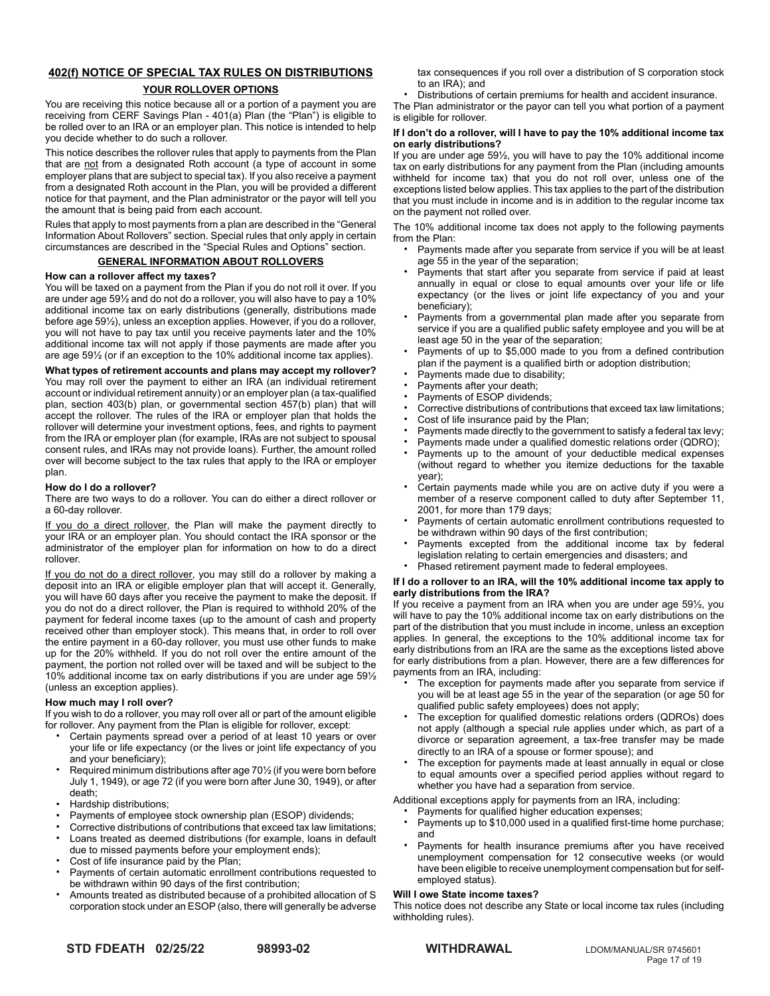# **402(f) NOTICE OF SPECIAL TAX RULES ON DISTRIBUTIONS**

# **YOUR ROLLOVER OPTIONS**

You are receiving this notice because all or a portion of a payment you are receiving from CERF Savings Plan - 401(a) Plan (the "Plan") is eligible to be rolled over to an IRA or an employer plan. This notice is intended to help you decide whether to do such a rollover.

This notice describes the rollover rules that apply to payments from the Plan that are not from a designated Roth account (a type of account in some employer plans that are subject to special tax). If you also receive a payment from a designated Roth account in the Plan, you will be provided a different notice for that payment, and the Plan administrator or the payor will tell you the amount that is being paid from each account.

Rules that apply to most payments from a plan are described in the "General Information About Rollovers" section. Special rules that only apply in certain circumstances are described in the "Special Rules and Options" section.

# **GENERAL INFORMATION ABOUT ROLLOVERS**

# **How can a rollover affect my taxes?**

You will be taxed on a payment from the Plan if you do not roll it over. If you are under age 59½ and do not do a rollover, you will also have to pay a 10% additional income tax on early distributions (generally, distributions made before age 59½), unless an exception applies. However, if you do a rollover, you will not have to pay tax until you receive payments later and the 10% additional income tax will not apply if those payments are made after you are age 59½ (or if an exception to the 10% additional income tax applies).

**What types of retirement accounts and plans may accept my rollover?** You may roll over the payment to either an IRA (an individual retirement account or individual retirement annuity) or an employer plan (a tax-qualified plan, section 403(b) plan, or governmental section 457(b) plan) that will accept the rollover. The rules of the IRA or employer plan that holds the rollover will determine your investment options, fees, and rights to payment from the IRA or employer plan (for example, IRAs are not subject to spousal consent rules, and IRAs may not provide loans). Further, the amount rolled over will become subject to the tax rules that apply to the IRA or employer plan.

# **How do I do a rollover?**

There are two ways to do a rollover. You can do either a direct rollover or a 60-day rollover.

If you do a direct rollover, the Plan will make the payment directly to your IRA or an employer plan. You should contact the IRA sponsor or the administrator of the employer plan for information on how to do a direct rollover.

If you do not do a direct rollover, you may still do a rollover by making a deposit into an IRA or eligible employer plan that will accept it. Generally, you will have 60 days after you receive the payment to make the deposit. If you do not do a direct rollover, the Plan is required to withhold 20% of the payment for federal income taxes (up to the amount of cash and property received other than employer stock). This means that, in order to roll over the entire payment in a 60-day rollover, you must use other funds to make up for the 20% withheld. If you do not roll over the entire amount of the payment, the portion not rolled over will be taxed and will be subject to the 10% additional income tax on early distributions if you are under age 59½ (unless an exception applies).

# **How much may I roll over?**

If you wish to do a rollover, you may roll over all or part of the amount eligible for rollover. Any payment from the Plan is eligible for rollover, except:

- Certain payments spread over a period of at least 10 years or over your life or life expectancy (or the lives or joint life expectancy of you and your beneficiary);
- Required minimum distributions after age 70<sup>1</sup>/<sub>2</sub> (if you were born before July 1, 1949), or age 72 (if you were born after June 30, 1949), or after death;
- Hardship distributions;
- Payments of employee stock ownership plan (ESOP) dividends;
- Corrective distributions of contributions that exceed tax law limitations; • Loans treated as deemed distributions (for example, loans in default
- due to missed payments before your employment ends);
- Cost of life insurance paid by the Plan;
- Payments of certain automatic enrollment contributions requested to be withdrawn within 90 days of the first contribution;
- Amounts treated as distributed because of a prohibited allocation of S corporation stock under an ESOP (also, there will generally be adverse

tax consequences if you roll over a distribution of S corporation stock to an IRA); and

• Distributions of certain premiums for health and accident insurance.

The Plan administrator or the payor can tell you what portion of a payment is eligible for rollover.

# **If I don't do a rollover, will I have to pay the 10% additional income tax on early distributions?**

If you are under age 59½, you will have to pay the 10% additional income tax on early distributions for any payment from the Plan (including amounts withheld for income tax) that you do not roll over, unless one of the exceptions listed below applies. This tax applies to the part of the distribution that you must include in income and is in addition to the regular income tax on the payment not rolled over.

The 10% additional income tax does not apply to the following payments from the Plan:

- Payments made after you separate from service if you will be at least age 55 in the year of the separation;
- Payments that start after you separate from service if paid at least annually in equal or close to equal amounts over your life or life expectancy (or the lives or joint life expectancy of you and your beneficiary);
- Payments from a governmental plan made after you separate from service if you are a qualified public safety employee and you will be at least age 50 in the year of the separation;
- Payments of up to \$5,000 made to you from a defined contribution plan if the payment is a qualified birth or adoption distribution;
- Payments made due to disability;
- Payments after your death;
- Payments of ESOP dividends;
- Corrective distributions of contributions that exceed tax law limitations;
- Cost of life insurance paid by the Plan;
- Payments made directly to the government to satisfy a federal tax levy;
- Payments made under a qualified domestic relations order (QDRO);
- Payments up to the amount of your deductible medical expenses (without regard to whether you itemize deductions for the taxable year);
- Certain payments made while you are on active duty if you were a member of a reserve component called to duty after September 11, 2001, for more than 179 days;
- Payments of certain automatic enrollment contributions requested to be withdrawn within 90 days of the first contribution;
- Payments excepted from the additional income tax by federal legislation relating to certain emergencies and disasters; and
- Phased retirement payment made to federal employees.

## **If I do a rollover to an IRA, will the 10% additional income tax apply to early distributions from the IRA?**

If you receive a payment from an IRA when you are under age 59½, you will have to pay the 10% additional income tax on early distributions on the part of the distribution that you must include in income, unless an exception applies. In general, the exceptions to the 10% additional income tax for early distributions from an IRA are the same as the exceptions listed above for early distributions from a plan. However, there are a few differences for payments from an IRA, including:

- The exception for payments made after you separate from service if you will be at least age 55 in the year of the separation (or age 50 for qualified public safety employees) does not apply;
- The exception for qualified domestic relations orders (QDROs) does not apply (although a special rule applies under which, as part of a divorce or separation agreement, a tax-free transfer may be made directly to an IRA of a spouse or former spouse); and
- The exception for payments made at least annually in equal or close to equal amounts over a specified period applies without regard to whether you have had a separation from service.

Additional exceptions apply for payments from an IRA, including:

- Payments for qualified higher education expenses;
- Payments up to \$10,000 used in a qualified first-time home purchase; and
- Payments for health insurance premiums after you have received unemployment compensation for 12 consecutive weeks (or would have been eligible to receive unemployment compensation but for selfemployed status).

## **Will I owe State income taxes?**

This notice does not describe any State or local income tax rules (including withholding rules).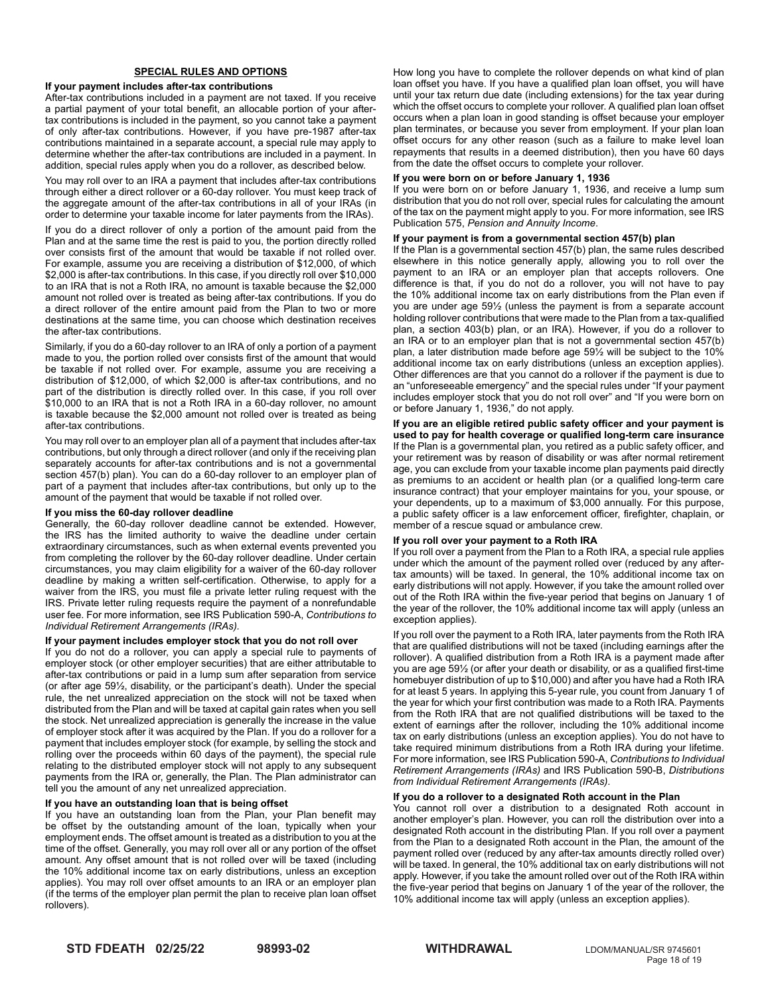# **SPECIAL RULES AND OPTIONS**

#### **If your payment includes after-tax contributions**

After-tax contributions included in a payment are not taxed. If you receive a partial payment of your total benefit, an allocable portion of your aftertax contributions is included in the payment, so you cannot take a payment of only after-tax contributions. However, if you have pre-1987 after-tax contributions maintained in a separate account, a special rule may apply to determine whether the after-tax contributions are included in a payment. In addition, special rules apply when you do a rollover, as described below.

You may roll over to an IRA a payment that includes after-tax contributions through either a direct rollover or a 60-day rollover. You must keep track of the aggregate amount of the after-tax contributions in all of your IRAs (in order to determine your taxable income for later payments from the IRAs).

If you do a direct rollover of only a portion of the amount paid from the Plan and at the same time the rest is paid to you, the portion directly rolled over consists first of the amount that would be taxable if not rolled over. For example, assume you are receiving a distribution of \$12,000, of which \$2,000 is after-tax contributions. In this case, if you directly roll over \$10,000 to an IRA that is not a Roth IRA, no amount is taxable because the \$2,000 amount not rolled over is treated as being after-tax contributions. If you do a direct rollover of the entire amount paid from the Plan to two or more destinations at the same time, you can choose which destination receives the after-tax contributions.

Similarly, if you do a 60-day rollover to an IRA of only a portion of a payment made to you, the portion rolled over consists first of the amount that would be taxable if not rolled over. For example, assume you are receiving a distribution of \$12,000, of which \$2,000 is after-tax contributions, and no part of the distribution is directly rolled over. In this case, if you roll over \$10,000 to an IRA that is not a Roth IRA in a 60-day rollover, no amount is taxable because the \$2,000 amount not rolled over is treated as being after-tax contributions.

You may roll over to an employer plan all of a payment that includes after-tax contributions, but only through a direct rollover (and only if the receiving plan separately accounts for after-tax contributions and is not a governmental section 457(b) plan). You can do a 60-day rollover to an employer plan of part of a payment that includes after-tax contributions, but only up to the amount of the payment that would be taxable if not rolled over.

## **If you miss the 60-day rollover deadline**

Generally, the 60-day rollover deadline cannot be extended. However, the IRS has the limited authority to waive the deadline under certain extraordinary circumstances, such as when external events prevented you from completing the rollover by the 60-day rollover deadline. Under certain circumstances, you may claim eligibility for a waiver of the 60-day rollover deadline by making a written self-certification. Otherwise, to apply for a waiver from the IRS, you must file a private letter ruling request with the IRS. Private letter ruling requests require the payment of a nonrefundable user fee. For more information, see IRS Publication 590-A, *Contributions to Individual Retirement Arrangements (IRAs).*

## **If your payment includes employer stock that you do not roll over**

If you do not do a rollover, you can apply a special rule to payments of employer stock (or other employer securities) that are either attributable to after-tax contributions or paid in a lump sum after separation from service (or after age 59½, disability, or the participant's death). Under the special rule, the net unrealized appreciation on the stock will not be taxed when distributed from the Plan and will be taxed at capital gain rates when you sell the stock. Net unrealized appreciation is generally the increase in the value of employer stock after it was acquired by the Plan. If you do a rollover for a payment that includes employer stock (for example, by selling the stock and rolling over the proceeds within 60 days of the payment), the special rule relating to the distributed employer stock will not apply to any subsequent payments from the IRA or, generally, the Plan. The Plan administrator can tell you the amount of any net unrealized appreciation.

## **If you have an outstanding loan that is being offset**

If you have an outstanding loan from the Plan, your Plan benefit may be offset by the outstanding amount of the loan, typically when your employment ends. The offset amount is treated as a distribution to you at the time of the offset. Generally, you may roll over all or any portion of the offset amount. Any offset amount that is not rolled over will be taxed (including the 10% additional income tax on early distributions, unless an exception applies). You may roll over offset amounts to an IRA or an employer plan (if the terms of the employer plan permit the plan to receive plan loan offset rollovers).

How long you have to complete the rollover depends on what kind of plan loan offset you have. If you have a qualified plan loan offset, you will have until your tax return due date (including extensions) for the tax year during which the offset occurs to complete your rollover. A qualified plan loan offset occurs when a plan loan in good standing is offset because your employer plan terminates, or because you sever from employment. If your plan loan offset occurs for any other reason (such as a failure to make level loan repayments that results in a deemed distribution), then you have 60 days from the date the offset occurs to complete your rollover.

#### **If you were born on or before January 1, 1936**

If you were born on or before January 1, 1936, and receive a lump sum distribution that you do not roll over, special rules for calculating the amount of the tax on the payment might apply to you. For more information, see IRS Publication 575, *Pension and Annuity Income*.

## **If your payment is from a governmental section 457(b) plan**

If the Plan is a governmental section 457(b) plan, the same rules described elsewhere in this notice generally apply, allowing you to roll over the payment to an IRA or an employer plan that accepts rollovers. One difference is that, if you do not do a rollover, you will not have to pay the 10% additional income tax on early distributions from the Plan even if you are under age 59½ (unless the payment is from a separate account holding rollover contributions that were made to the Plan from a tax-qualified plan, a section 403(b) plan, or an IRA). However, if you do a rollover to an IRA or to an employer plan that is not a governmental section 457(b) plan, a later distribution made before age 59½ will be subject to the 10% additional income tax on early distributions (unless an exception applies). Other differences are that you cannot do a rollover if the payment is due to an "unforeseeable emergency" and the special rules under "If your payment includes employer stock that you do not roll over" and "If you were born on or before January 1, 1936," do not apply.

**If you are an eligible retired public safety officer and your payment is used to pay for health coverage or qualified long-term care insurance** If the Plan is a governmental plan, you retired as a public safety officer, and your retirement was by reason of disability or was after normal retirement age, you can exclude from your taxable income plan payments paid directly as premiums to an accident or health plan (or a qualified long-term care insurance contract) that your employer maintains for you, your spouse, or your dependents, up to a maximum of \$3,000 annually. For this purpose, a public safety officer is a law enforcement officer, firefighter, chaplain, or member of a rescue squad or ambulance crew.

## **If you roll over your payment to a Roth IRA**

If you roll over a payment from the Plan to a Roth IRA, a special rule applies under which the amount of the payment rolled over (reduced by any aftertax amounts) will be taxed. In general, the 10% additional income tax on early distributions will not apply. However, if you take the amount rolled over out of the Roth IRA within the five-year period that begins on January 1 of the year of the rollover, the 10% additional income tax will apply (unless an exception applies).

If you roll over the payment to a Roth IRA, later payments from the Roth IRA that are qualified distributions will not be taxed (including earnings after the rollover). A qualified distribution from a Roth IRA is a payment made after you are age 59½ (or after your death or disability, or as a qualified first-time homebuyer distribution of up to \$10,000) and after you have had a Roth IRA for at least 5 years. In applying this 5-year rule, you count from January 1 of the year for which your first contribution was made to a Roth IRA. Payments from the Roth IRA that are not qualified distributions will be taxed to the extent of earnings after the rollover, including the 10% additional income tax on early distributions (unless an exception applies). You do not have to take required minimum distributions from a Roth IRA during your lifetime. For more information, see IRS Publication 590-A, *Contributions to Individual Retirement Arrangements (IRAs)* and IRS Publication 590-B, *Distributions from Individual Retirement Arrangements (IRAs)*.

# **If you do a rollover to a designated Roth account in the Plan**

You cannot roll over a distribution to a designated Roth account in another employer's plan. However, you can roll the distribution over into a designated Roth account in the distributing Plan. If you roll over a payment from the Plan to a designated Roth account in the Plan, the amount of the payment rolled over (reduced by any after-tax amounts directly rolled over) will be taxed. In general, the 10% additional tax on early distributions will not apply. However, if you take the amount rolled over out of the Roth IRA within the five-year period that begins on January 1 of the year of the rollover, the 10% additional income tax will apply (unless an exception applies).